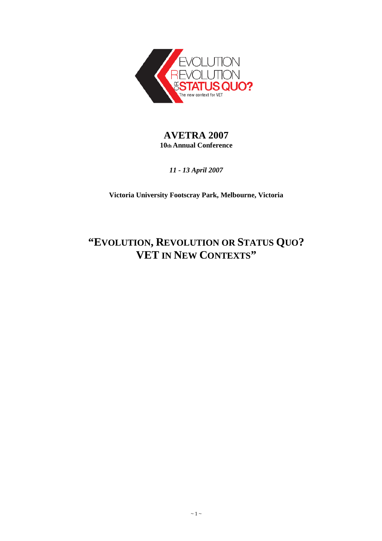

# **AVETRA 2007 10th Annual Conference**

*11 - 13 April 2007* 

**Victoria University Footscray Park, Melbourne, Victoria** 

# **"EVOLUTION, REVOLUTION OR STATUS QUO? VET IN NEW CONTEXTS"**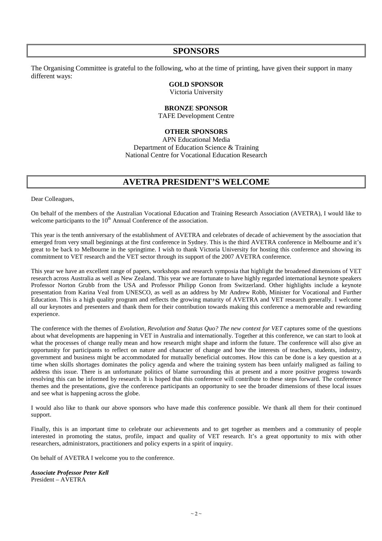# **SPONSORS**

The Organising Committee is grateful to the following, who at the time of printing, have given their support in many different ways:

# **GOLD SPONSOR**

Victoria University

### **BRONZE SPONSOR**

TAFE Development Centre

# **OTHER SPONSORS**

APN Educational Media Department of Education Science & Training National Centre for Vocational Education Research

# **AVETRA PRESIDENT'S WELCOME**

Dear Colleagues,

On behalf of the members of the Australian Vocational Education and Training Research Association (AVETRA), I would like to welcome participants to the  $10<sup>th</sup>$  Annual Conference of the association.

This year is the tenth anniversary of the establishment of AVETRA and celebrates of decade of achievement by the association that emerged from very small beginnings at the first conference in Sydney. This is the third AVETRA conference in Melbourne and it's great to be back to Melbourne in the springtime. I wish to thank Victoria University for hosting this conference and showing its commitment to VET research and the VET sector through its support of the 2007 AVETRA conference.

This year we have an excellent range of papers, workshops and research symposia that highlight the broadened dimensions of VET research across Australia as well as New Zealand. This year we are fortunate to have highly regarded international keynote speakers Professor Norton Grubb from the USA and Professor Philipp Gonon from Switzerland. Other highlights include a keynote presentation from Karina Veal from UNESCO, as well as an address by Mr Andrew Robb, Minister for Vocational and Further Education. This is a high quality program and reflects the growing maturity of AVETRA and VET research generally. I welcome all our keynotes and presenters and thank them for their contribution towards making this conference a memorable and rewarding experience.

The conference with the themes of *Evolution, Revolution and Status Quo? The new context for VET* captures some of the questions about what developments are happening in VET in Australia and internationally. Together at this conference, we can start to look at what the processes of change really mean and how research might shape and inform the future. The conference will also give an opportunity for participants to reflect on nature and character of change and how the interests of teachers, students, industry, government and business might be accommodated for mutually beneficial outcomes. How this can be done is a key question at a time when skills shortages dominates the policy agenda and where the training system has been unfairly maligned as failing to address this issue. There is an unfortunate politics of blame surrounding this at present and a more positive progress towards resolving this can be informed by research. It is hoped that this conference will contribute to these steps forward. The conference themes and the presentations, give the conference participants an opportunity to see the broader dimensions of these local issues and see what is happening across the globe.

I would also like to thank our above sponsors who have made this conference possible. We thank all them for their continued support.

Finally, this is an important time to celebrate our achievements and to get together as members and a community of people interested in promoting the status, profile, impact and quality of VET research. It's a great opportunity to mix with other researchers, administrators, practitioners and policy experts in a spirit of inquiry.

On behalf of AVETRA I welcome you to the conference.

*Associate Professor Peter Kell*  President – AVETRA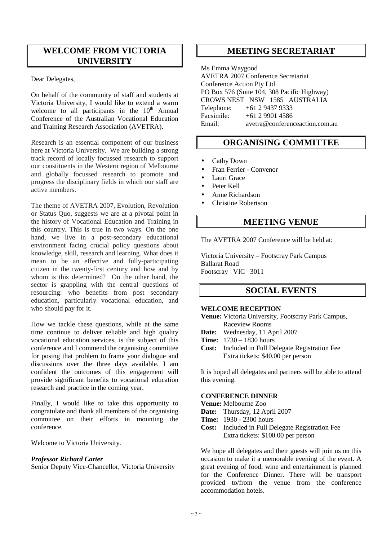# **WELCOME FROM VICTORIA UNIVERSITY**

Dear Delegates,

On behalf of the community of staff and students at Victoria University, I would like to extend a warm welcome to all participants in the  $10<sup>th</sup>$  Annual Conference of the Australian Vocational Education and Training Research Association (AVETRA).

Research is an essential component of our business here at Victoria University. We are building a strong track record of locally focussed research to support our constituents in the Western region of Melbourne and globally focussed research to promote and progress the disciplinary fields in which our staff are active members.

The theme of AVETRA 2007, Evolution, Revolution or Status Quo, suggests we are at a pivotal point in the history of Vocational Education and Training in this country. This is true in two ways. On the one hand, we live in a post-secondary educational environment facing crucial policy questions about knowledge, skill, research and learning. What does it mean to be an effective and fully-participating citizen in the twenty-first century and how and by whom is this determined? On the other hand, the sector is grappling with the central questions of resourcing: who benefits from post secondary education, particularly vocational education, and who should pay for it.

How we tackle these questions, while at the same time continue to deliver reliable and high quality vocational education services, is the subject of this conference and I commend the organising committee for posing that problem to frame your dialogue and discussions over the three days available. I am confident the outcomes of this engagement will provide significant benefits to vocational education research and practice in the coming year.

Finally, I would like to take this opportunity to congratulate and thank all members of the organising committee on their efforts in mounting the conference.

Welcome to Victoria University.

### *Professor Richard Carter*

Senior Deputy Vice-Chancellor, Victoria University

# **MEETING SECRETARIAT**

Ms Emma Waygood AVETRA 2007 Conference Secretariat Conference Action Pty Ltd PO Box 576 (Suite 104, 308 Pacific Highway) CROWS NEST NSW 1585 AUSTRALIA Telephone: +61 2 9437 9333 Facsimile: +61 2 9901 4586 Email: avetra@conferenceaction.com.au

# **ORGANISING COMMITTEE**

- Cathy Down
- Fran Ferrier Convenor
- Lauri Grace
- Peter Kell
- Anne Richardson
- Christine Robertson

# **MEETING VENUE**

The AVETRA 2007 Conference will be held at:

Victoria University – Footscray Park Campus Ballarat Road Footscray VIC 3011

# **SOCIAL EVENTS**

### **WELCOME RECEPTION**

**Venue:** Victoria University, Footscray Park Campus, Raceview Rooms

- **Date:** Wednesday, 11 April 2007
- **Time:** 1730 1830 hours
- **Cost:** Included in Full Delegate Registration Fee Extra tickets: \$40.00 per person

It is hoped all delegates and partners will be able to attend this evening.

### **CONFERENCE DINNER**

# **Venue:** Melbourne Zoo

- **Date:** Thursday, 12 April 2007
- **Time:** 1930 2300 hours
- **Cost:** Included in Full Delegate Registration Fee Extra tickets: \$100.00 per person

We hope all delegates and their guests will join us on this occasion to make it a memorable evening of the event. A great evening of food, wine and entertainment is planned for the Conference Dinner. There will be transport provided to/from the venue from the conference accommodation hotels.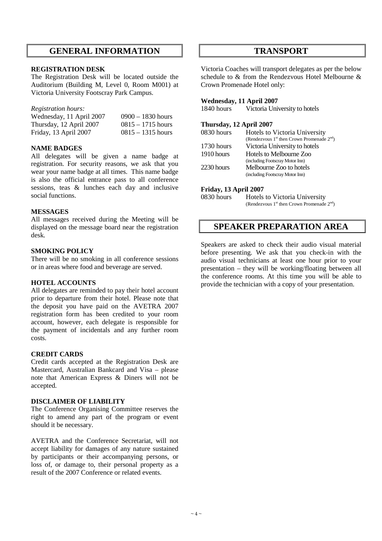# **GENERAL INFORMATION**

### **REGISTRATION DESK**

The Registration Desk will be located outside the Auditorium (Building M, Level 0, Room M001) at Victoria University Footscray Park Campus.

### *Registration hours:*

| Wednesday, 11 April 2007 | $0900 - 1830$ hours |
|--------------------------|---------------------|
| Thursday, 12 April 2007  | $0815 - 1715$ hours |
| Friday, 13 April 2007    | $0815 - 1315$ hours |

### **NAME BADGES**

All delegates will be given a name badge at registration. For security reasons, we ask that you wear your name badge at all times. This name badge is also the official entrance pass to all conference sessions, teas & lunches each day and inclusive social functions.

### **MESSAGES**

All messages received during the Meeting will be displayed on the message board near the registration desk.

### **SMOKING POLICY**

There will be no smoking in all conference sessions or in areas where food and beverage are served.

### **HOTEL ACCOUNTS**

All delegates are reminded to pay their hotel account prior to departure from their hotel. Please note that the deposit you have paid on the AVETRA 2007 registration form has been credited to your room account, however, each delegate is responsible for the payment of incidentals and any further room costs.

### **CREDIT CARDS**

Credit cards accepted at the Registration Desk are Mastercard, Australian Bankcard and Visa – please note that American Express & Diners will not be accepted.

### **DISCLAIMER OF LIABILITY**

The Conference Organising Committee reserves the right to amend any part of the program or event should it be necessary.

AVETRA and the Conference Secretariat, will not accept liability for damages of any nature sustained by participants or their accompanying persons, or loss of, or damage to, their personal property as a result of the 2007 Conference or related events.

# **TRANSPORT**

Victoria Coaches will transport delegates as per the below schedule to & from the Rendezvous Hotel Melbourne & Crown Promenade Hotel only:

# **Wednesday, 11 April 2007**

Victoria University to hotels

### **Thursday, 12 April 2007**

| 0830 hours | Hotels to Victoria University                        |
|------------|------------------------------------------------------|
|            | (Rendezvous $1^{st}$ then Crown Promenade $2^{nd}$ ) |
| 1730 hours | Victoria University to hotels                        |
| 1910 hours | Hotels to Melbourne Zoo                              |
|            | (including Footscray Motor Inn)                      |
| 2230 hours | Melbourne Zoo to hotels                              |
|            | (including Footscray Motor Inn)                      |
|            |                                                      |

### **Friday, 13 April 2007**

0830 hours Hotels to Victoria University (Rendezvous  $1^{st}$  then Crown Promenade  $2^{nd}$ )

# **SPEAKER PREPARATION AREA**

Speakers are asked to check their audio visual material before presenting. We ask that you check-in with the audio visual technicians at least one hour prior to your presentation – they will be working/floating between all the conference rooms. At this time you will be able to provide the technician with a copy of your presentation.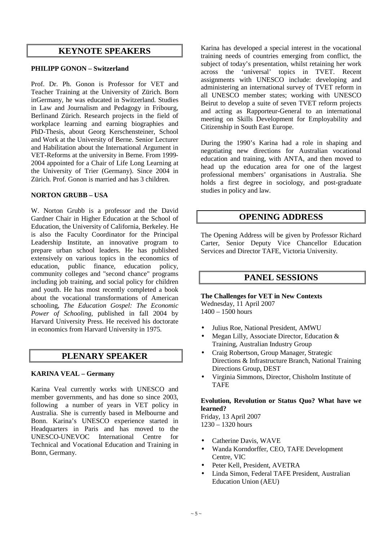# **KEYNOTE SPEAKERS**

# **PHILIPP GONON – Switzerland**

Prof. Dr. Ph. Gonon is Professor for VET and Teacher Training at the University of Zürich. Born inGermany, he was educated in Switzerland. Studies in Law and Journalism and Pedagogy in Fribourg, Berlinand Zürich. Research projects in the field of workplace learning and earning biographies and PhD-Thesis, about Georg Kerschensteiner, School and Work at the University of Berne. Senior Lecturer and Habilitation about the International Argument in VET-Reforms at the university in Berne. From 1999- 2004 appointed for a Chair of Life Long Learning at the University of Trier (Germany). Since 2004 in Zürich. Prof. Gonon is married and has 3 children.

### **NORTON GRUBB – USA**

W. Norton Grubb is a professor and the David Gardner Chair in Higher Education at the School of Education, the University of California, Berkeley. He is also the Faculty Coordinator for the Principal Leadership Institute, an innovative program to prepare urban school leaders. He has published extensively on various topics in the economics of education, public finance, education policy, community colleges and "second chance" programs including job training, and social policy for children and youth. He has most recently completed a book about the vocational transformations of American schooling, *The Education Gospel: The Economic Power of Schooling*, published in fall 2004 by Harvard University Press. He received his doctorate in economics from Harvard University in 1975.

# **PLENARY SPEAKER**

### **KARINA VEAL – Germany**

Karina Veal currently works with UNESCO and member governments, and has done so since 2003, following a number of years in VET policy in Australia. She is currently based in Melbourne and Bonn. Karina's UNESCO experience started in Headquarters in Paris and has moved to the UNESCO-UNEVOC International Centre for Technical and Vocational Education and Training in Bonn, Germany.

Karina has developed a special interest in the vocational training needs of countries emerging from conflict, the subject of today's presentation, whilst retaining her work across the 'universal' topics in TVET. Recent assignments with UNESCO include: developing and administering an international survey of TVET reform in all UNESCO member states; working with UNESCO Beirut to develop a suite of seven TVET reform projects and acting as Rapporteur-General to an international meeting on Skills Development for Employability and Citizenship in South East Europe.

During the 1990's Karina had a role in shaping and negotiating new directions for Australian vocational education and training, with ANTA, and then moved to head up the education area for one of the largest professional members' organisations in Australia. She holds a first degree in sociology, and post-graduate studies in policy and law.

# **OPENING ADDRESS**

The Opening Address will be given by Professor Richard Carter, Senior Deputy Vice Chancellor Education Services and Director TAFE, Victoria University.

# **PANEL SESSIONS**

**The Challenges for VET in New Contexts**  Wednesday, 11 April 2007 1400 – 1500 hours

- Julius Roe, National President, AMWU
- Megan Lilly, Associate Director, Education & Training, Australian Industry Group
- Craig Robertson, Group Manager, Strategic Directions & Infrastructure Branch, National Training Directions Group, DEST
- Virginia Simmons, Director, Chisholm Institute of TAFE

# **Evolution, Revolution or Status Quo? What have we learned?**

Friday, 13 April 2007 1230 – 1320 hours

- Catherine Davis, WAVE
- Wanda Korndorffer, CEO, TAFE Development Centre, VIC
- Peter Kell, President, AVETRA
- Linda Simon, Federal TAFE President, Australian Education Union (AEU)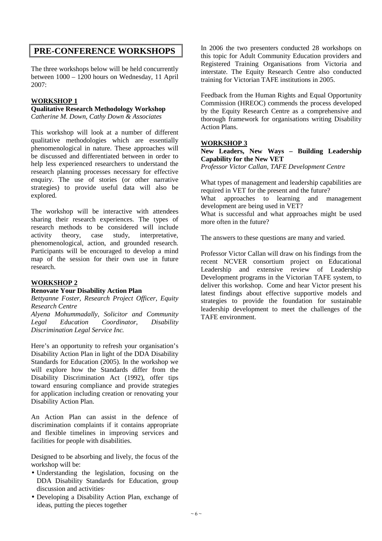# **PRE-CONFERENCE WORKSHOPS**

The three workshops below will be held concurrently between 1000 – 1200 hours on Wednesday, 11 April 2007:

# **WORKSHOP 1**

### **Qualitative Research Methodology Workshop**

*Catherine M. Down, Cathy Down & Associates* 

This workshop will look at a number of different qualitative methodologies which are essentially phenomenological in nature. These approaches will be discussed and differentiated between in order to help less experienced researchers to understand the research planning processes necessary for effective enquiry. The use of stories (or other narrative strategies) to provide useful data will also be explored.

The workshop will be interactive with attendees sharing their research experiences. The types of research methods to be considered will include activity theory, case study, interpretative, phenomenological, action, and grounded research. Participants will be encouraged to develop a mind map of the session for their own use in future research.

# **WORKSHOP 2**

### **Renovate Your Disability Action Plan**

*Bettyanne Foster, Research Project Officer, Equity Research Centre* 

*Alyena Mohummadally, Solicitor and Community Legal Education Coordinator, Disability Discrimination Legal Service Inc.* 

Here's an opportunity to refresh your organisation's Disability Action Plan in light of the DDA Disability Standards for Education (2005). In the workshop we will explore how the Standards differ from the Disability Discrimination Act (1992), offer tips toward ensuring compliance and provide strategies for application including creation or renovating your Disability Action Plan.

An Action Plan can assist in the defence of discrimination complaints if it contains appropriate and flexible timelines in improving services and facilities for people with disabilities.

Designed to be absorbing and lively, the focus of the workshop will be:

- Understanding the legislation, focusing on the DDA Disability Standards for Education, group discussion and activities·
- Developing a Disability Action Plan, exchange of ideas, putting the pieces together

In 2006 the two presenters conducted 28 workshops on this topic for Adult Community Education providers and Registered Training Organisations from Victoria and interstate. The Equity Research Centre also conducted training for Victorian TAFE institutions in 2005.

Feedback from the Human Rights and Equal Opportunity Commission (HREOC) commends the process developed by the Equity Research Centre as a comprehensive and thorough framework for organisations writing Disability Action Plans.

### **WORKSHOP 3**

**New Leaders, New Ways – Building Leadership Capability for the New VET** 

*Professor Victor Callan, TAFE Development Centre* 

What types of management and leadership capabilities are required in VET for the present and the future? What approaches to learning and management development are being used in VET? What is successful and what approaches might be used more often in the future?

The answers to these questions are many and varied.

Professor Victor Callan will draw on his findings from the recent NCVER consortium project on Educational Leadership and extensive review of Leadership Development programs in the Victorian TAFE system, to deliver this workshop. Come and hear Victor present his latest findings about effective supportive models and strategies to provide the foundation for sustainable leadership development to meet the challenges of the TAFE environment.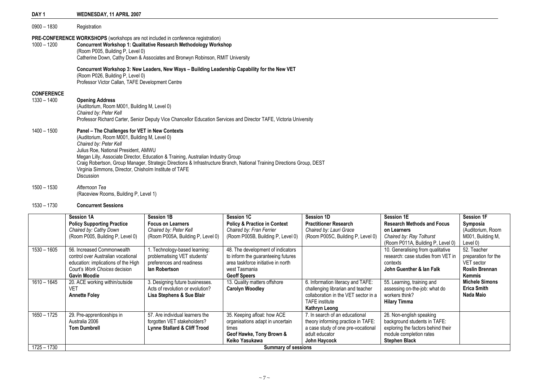| DAY <sub>1</sub>                   | WEDNESDAY, 11 APRIL 2007                                                                                                                                                                                                                                                                                                                                                                                                                               |
|------------------------------------|--------------------------------------------------------------------------------------------------------------------------------------------------------------------------------------------------------------------------------------------------------------------------------------------------------------------------------------------------------------------------------------------------------------------------------------------------------|
| $0900 - 1830$                      | Registration                                                                                                                                                                                                                                                                                                                                                                                                                                           |
| $1000 - 1200$                      | <b>PRE-CONFERENCE WORKSHOPS</b> (workshops are not included in conference registration)<br><b>Concurrent Workshop 1: Qualitative Research Methodology Workshop</b><br>(Room P005, Building P, Level 0)<br>Catherine Down, Cathy Down & Associates and Bronwyn Robinson, RMIT University                                                                                                                                                                |
|                                    | Concurrent Workshop 3: New Leaders, New Ways - Building Leadership Capability for the New VET<br>(Room P026, Building P, Level 0)<br>Professor Victor Callan, TAFE Development Centre                                                                                                                                                                                                                                                                  |
| <b>CONFERENCE</b><br>$1330 - 1400$ | <b>Opening Address</b><br>(Auditorium, Room M001, Building M, Level 0)<br>Chaired by: Peter Kell<br>Professor Richard Carter, Senior Deputy Vice Chancellor Education Services and Director TAFE, Victoria University                                                                                                                                                                                                                                  |
| $1400 - 1500$                      | Panel - The Challenges for VET in New Contexts<br>(Auditorium, Room M001, Building M, Level 0)<br>Chaired by: Peter Kell<br>Julius Roe, National President, AMWU<br>Megan Lilly, Associate Director, Education & Training, Australian Industry Group<br>Craig Robertson, Group Manager, Strategic Directions & Infrastructure Branch, National Training Directions Group, DEST<br>Virginia Simmons, Director, Chisholm Institute of TAFE<br>Discussion |

### 1530 – 1730 Concurrent Sessions

1500 – 1530 Afternoon Tea (Raceview Rooms, Building P, Level 1)

| $1530 - 1605$ | Session 1A<br><b>Policy Supporting Practice</b><br>Chaired by: Cathy Down<br>(Room P005, Building P, Level 0)<br>56. Increased Commonwealth<br>control over Australian vocational<br>education: implications of the High<br>Court's Work Choices decision | <b>Session 1B</b><br><b>Focus on Learners</b><br>Chaired by: Peter Kell<br>(Room P005A, Building P, Level 0)<br>. Technology-based learning:<br>problematising VET students'<br>preferences and readiness<br>lan Robertson | Session 1C<br><b>Policy &amp; Practice in Context</b><br>Chaired by: Fran Ferrier<br>(Room P005B, Building P, Level 0)<br>48. The development of indicators<br>to inform the guaranteeing futures<br>area taskforce initiative in north<br>west Tasmania | Session 1D<br><b>Practitioner Research</b><br>Chaired by: Lauri Grace<br>(Room P005C, Building P, Level 0) | <b>Session 1E</b><br><b>Research Methods and Focus</b><br>on Learners<br>Chaired by: Ray Tolhurst<br>(Room P011A, Building P, Level 0)<br>10. Generalising from qualitative<br>research: case studies from VET in<br>contexts<br>John Guenther & lan Falk | <b>Session 1F</b><br>Symposia<br>(Auditorium, Room<br>M001, Building M,<br>Level 0)<br>52. Teacher<br>preparation for the<br>VET sector<br><b>Roslin Brennan</b> |
|---------------|-----------------------------------------------------------------------------------------------------------------------------------------------------------------------------------------------------------------------------------------------------------|----------------------------------------------------------------------------------------------------------------------------------------------------------------------------------------------------------------------------|----------------------------------------------------------------------------------------------------------------------------------------------------------------------------------------------------------------------------------------------------------|------------------------------------------------------------------------------------------------------------|-----------------------------------------------------------------------------------------------------------------------------------------------------------------------------------------------------------------------------------------------------------|------------------------------------------------------------------------------------------------------------------------------------------------------------------|
|               | <b>Gavin Moodie</b>                                                                                                                                                                                                                                       |                                                                                                                                                                                                                            | <b>Geoff Speers</b>                                                                                                                                                                                                                                      |                                                                                                            |                                                                                                                                                                                                                                                           | Kemmis                                                                                                                                                           |
| $1610 - 1645$ | 20. ACE working within/outside                                                                                                                                                                                                                            | 3. Designing future businesses.<br>Acts of revolution or evolution?                                                                                                                                                        | 13. Quality matters offshore                                                                                                                                                                                                                             | 6. Information literacy and TAFE:                                                                          | 55. Learning, training and                                                                                                                                                                                                                                | <b>Michele Simons</b><br><b>Erica Smith</b>                                                                                                                      |
|               | VET<br><b>Annette Foley</b>                                                                                                                                                                                                                               | Lisa Stephens & Sue Blair                                                                                                                                                                                                  | <b>Carolyn Woodley</b>                                                                                                                                                                                                                                   | challenging librarian and teacher<br>collaboration in the VET sector in a                                  | assessing on-the-job: what do<br>workers think?                                                                                                                                                                                                           | Nada Maio                                                                                                                                                        |
|               |                                                                                                                                                                                                                                                           |                                                                                                                                                                                                                            |                                                                                                                                                                                                                                                          | <b>TAFE</b> institute                                                                                      | <b>Hilary Timma</b>                                                                                                                                                                                                                                       |                                                                                                                                                                  |
|               |                                                                                                                                                                                                                                                           |                                                                                                                                                                                                                            |                                                                                                                                                                                                                                                          | Kathryn Leong                                                                                              |                                                                                                                                                                                                                                                           |                                                                                                                                                                  |
| $1650 - 1725$ | 29. Pre-apprenticeships in                                                                                                                                                                                                                                | 57. Are individual learners the                                                                                                                                                                                            | 35. Keeping afloat: how ACE                                                                                                                                                                                                                              | 7. In search of an educational                                                                             | 26. Non-english speaking                                                                                                                                                                                                                                  |                                                                                                                                                                  |
|               | Australia 2006                                                                                                                                                                                                                                            | forgotten VET stakeholders?                                                                                                                                                                                                | organisations adapt in uncertain                                                                                                                                                                                                                         | theory informing practice in TAFE:                                                                         | background students in TAFE:                                                                                                                                                                                                                              |                                                                                                                                                                  |
|               | <b>Tom Dumbrell</b>                                                                                                                                                                                                                                       | <b>Lynne Stallard &amp; Cliff Trood</b>                                                                                                                                                                                    | times                                                                                                                                                                                                                                                    | a case study of one pre-vocational                                                                         | exploring the factors behind their                                                                                                                                                                                                                        |                                                                                                                                                                  |
|               |                                                                                                                                                                                                                                                           |                                                                                                                                                                                                                            | Geof Hawke, Tony Brown &                                                                                                                                                                                                                                 | adult educator                                                                                             | module completion rates                                                                                                                                                                                                                                   |                                                                                                                                                                  |
|               |                                                                                                                                                                                                                                                           |                                                                                                                                                                                                                            | Keiko Yasukawa                                                                                                                                                                                                                                           | John Haycock                                                                                               | <b>Stephen Black</b>                                                                                                                                                                                                                                      |                                                                                                                                                                  |
| $1725 - 1730$ | <b>Summary of sessions</b>                                                                                                                                                                                                                                |                                                                                                                                                                                                                            |                                                                                                                                                                                                                                                          |                                                                                                            |                                                                                                                                                                                                                                                           |                                                                                                                                                                  |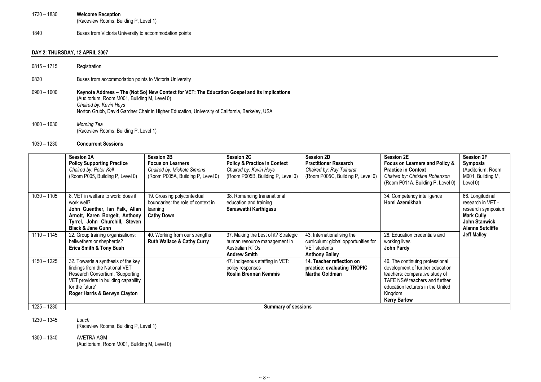- 1730 1830 Welcome Reception (Raceview Rooms, Building P, Level 1)
- 1840 Buses from Victoria University to accommodation points

### DAY 2: THURSDAY, 12 APRIL 2007

- 0815 1715 Registration
- 0830 Buses from accommodation points to Victoria University
- 0900 1000 Keynote Address The (Not So) New Context for VET: The Education Gospel and its Implications (Auditorium, Room M001, Building M, Level 0) Chaired by: Kevin Heys Norton Grubb, David Gardner Chair in Higher Education, University of California, Berkeley, USA
- 1000 1030 Morning Tea (Raceview Rooms, Building P, Level 1)

### 1030 – 1230 Concurrent Sessions

|               | <b>Session 2A</b><br><b>Policy Supporting Practice</b><br>Chaired by: Peter Kell<br>(Room P005, Building P, Level 0)                                                                                 | <b>Session 2B</b><br><b>Focus on Learners</b><br>Chaired by: Michele Simons<br>(Room P005A, Building P, Level 0) | <b>Session 2C</b><br><b>Policy &amp; Practice in Context</b><br>Chaired by: Kevin Heys<br>(Room P005B, Building P, Level 0) | Session 2D<br><b>Practitioner Research</b><br>Chaired by: Ray Tolhurst<br>(Room P005C, Building P, Level 0) | <b>Session 2E</b><br>Focus on Learners and Policy &<br><b>Practice in Context</b><br>Chaired by: Christine Robertson<br>(Room P011A, Building P, Level 0)                                                     | <b>Session 2F</b><br>Symposia<br>(Auditorium, Room<br>M001, Building M,<br>Level 0)                                                 |
|---------------|------------------------------------------------------------------------------------------------------------------------------------------------------------------------------------------------------|------------------------------------------------------------------------------------------------------------------|-----------------------------------------------------------------------------------------------------------------------------|-------------------------------------------------------------------------------------------------------------|---------------------------------------------------------------------------------------------------------------------------------------------------------------------------------------------------------------|-------------------------------------------------------------------------------------------------------------------------------------|
| $1030 - 1105$ | 8. VET in welfare to work: does it<br>work well?<br>John Guenther, Ian Falk, Allan<br>Arnott, Karen Borgelt, Anthony<br>Tyrrel, John Churchill, Steven<br><b>Black &amp; Jane Gunn</b>               | 19. Crossing polycontextual<br>boundaries: the role of context in<br>learning<br><b>Cathy Down</b>               | 38. Romancing transnational<br>education and training<br>Saraswathi Karthigasu                                              |                                                                                                             | 34. Competency intelligence<br>Homi Azemikhah                                                                                                                                                                 | 66. Longitudinal<br>research in VET -<br>research symposium<br><b>Mark Cully</b><br><b>John Stanwick</b><br><b>Alanna Sutcliffe</b> |
| $1110 - 1145$ | 22. Group training organisations:<br>bellwethers or shepherds?<br><b>Erica Smith &amp; Tony Bush</b>                                                                                                 | 40. Working from our strengths<br><b>Ruth Wallace &amp; Cathy Curry</b>                                          | 37. Making the best of it? Strategic<br>human resource management in<br>Australian RTOs<br><b>Andrew Smith</b>              | 43. Internationalising the<br>curriculum: global opportunities for<br>VET students<br><b>Anthony Bailey</b> | 28. Education credentials and<br>working lives<br>John Pardy                                                                                                                                                  | <b>Jeff Malley</b>                                                                                                                  |
| $1150 - 1225$ | 32. Towards a synthesis of the key<br>findings from the National VET<br>Research Consortium, 'Supporting<br>VET providers in building capability<br>for the future'<br>Roger Harris & Berwyn Clayton |                                                                                                                  | 47. Indigenous staffing in VET:<br>policy responses<br><b>Roslin Brennan Kemmis</b>                                         | 14. Teacher reflection on<br>practice: evaluating TROPIC<br>Martha Goldman                                  | 46. The continuing professional<br>development of further education<br>teachers: comparative study of<br>TAFE NSW teachers and further<br>education lecturers in the United<br>Kingdom<br><b>Kerry Barlow</b> |                                                                                                                                     |
| $1225 - 1230$ | <b>Summary of sessions</b>                                                                                                                                                                           |                                                                                                                  |                                                                                                                             |                                                                                                             |                                                                                                                                                                                                               |                                                                                                                                     |

1230 – 1345 Lunch

(Raceview Rooms, Building P, Level 1)

1300 – 1340 AVETRA AGM (Auditorium, Room M001, Building M, Level 0)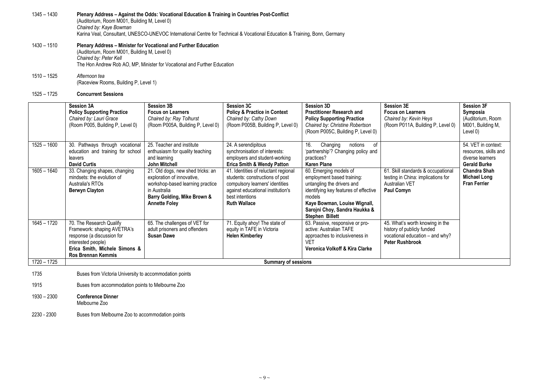### 1345 – 1430 Plenary Address – Against the Odds: Vocational Education & Training in Countries Post-Conflict (Auditorium, Room M001, Building M, Level 0) Chaired by: Kaye Bowman Karina Veal, Consultant, UNESCO-UNEVOC International Centre for Technical & Vocational Education & Training, Bonn, Germany

### 1430 – 1510 Plenary Address – Minister for Vocational and Further Education

(Auditorium, Room M001, Building M, Level 0) Chaired by: Peter Kell The Hon Andrew Rob AO, MP, Minister for Vocational and Further Education

1510 – 1525 Afternoon tea(Raceview Rooms, Building P, Level 1)

### 1525 – 1725 Concurrent Sessions

|               | <b>Session 3A</b><br><b>Policy Supporting Practice</b><br>Chaired by: Lauri Grace<br>(Room P005, Building P, Level 0)                                                     | <b>Session 3B</b><br><b>Focus on Learners</b><br>Chaired by: Ray Tolhurst<br>(Room P005A, Building P, Level 0)                                                             | <b>Session 3C</b><br><b>Policy &amp; Practice in Context</b><br>Chaired by: Cathy Down<br>(Room P005B, Building P, Level 0)                                                               | <b>Session 3D</b><br><b>Practitioner Research and</b><br><b>Policy Supporting Practice</b><br>Chaired by: Christine Robertson<br>(Room P005C, Building P, Level 0)                                                               | <b>Session 3E</b><br><b>Focus on Learners</b><br>Chaired by: Kevin Heys<br>(Room P011A, Building P, Level 0)               | <b>Session 3F</b><br>Symposia<br>(Auditorium, Room<br>M001, Building M,<br>Level 0)     |
|---------------|---------------------------------------------------------------------------------------------------------------------------------------------------------------------------|----------------------------------------------------------------------------------------------------------------------------------------------------------------------------|-------------------------------------------------------------------------------------------------------------------------------------------------------------------------------------------|----------------------------------------------------------------------------------------------------------------------------------------------------------------------------------------------------------------------------------|----------------------------------------------------------------------------------------------------------------------------|-----------------------------------------------------------------------------------------|
| $1525 - 1600$ | 30. Pathways through vocational<br>education and training for school<br>leavers<br><b>David Curtis</b>                                                                    | 25. Teacher and institute<br>enthusiasm for quality teaching<br>and learning<br>John Mitchell                                                                              | 24. A serendipitous<br>synchronisation of interests:<br>employers and student-working<br><b>Erica Smith &amp; Wendy Patton</b>                                                            | 16.<br>Changing<br>notions<br>οf<br>'partnership'? Changing policy and<br>practices?<br><b>Karen Plane</b>                                                                                                                       |                                                                                                                            | 54. VET in context:<br>resources, skills and<br>diverse learners<br><b>Gerald Burke</b> |
| $1605 - 1640$ | 33. Changing shapes, changing<br>mindsets: the evolution of<br>Australia's RTOs<br><b>Berwyn Clayton</b>                                                                  | 21. Old dogs, new shed tricks: an<br>exploration of innovative,<br>workshop-based learning practice<br>in Australia<br>Barry Golding, Mike Brown &<br><b>Annette Foley</b> | 41. Identities of reluctant regional<br>students: constructions of post<br>compulsory learners' identities<br>against educational institution's<br>best intentions<br><b>Ruth Wallace</b> | 60. Emerging models of<br>employment based training:<br>untangling the drivers and<br>identifying key features of effective<br>models<br>Kaye Bowman, Louise Wignall,<br>Sarojni Choy, Sandra Haukka &<br><b>Stephen Billett</b> | 61. Skill standards & occupational<br>testing in China: implications for<br><b>Australian VET</b><br>Paul Comyn            | <b>Chandra Shah</b><br>Michael Long<br><b>Fran Ferrier</b>                              |
| $1645 - 1720$ | 70. The Research Qualify<br>Framework: shaping AVETRA's<br>response (a discussion for<br>interested people)<br>Erica Smith, Michele Simons &<br><b>Ros Brennan Kemmis</b> | 65. The challenges of VET for<br>adult prisoners and offenders<br><b>Susan Dawe</b>                                                                                        | 71. Equity ahoy! The state of<br>equity in TAFE in Victoria<br><b>Helen Kimberley</b>                                                                                                     | 63. Passive, responsive or pro-<br>active: Australian TAFE<br>approaches to inclusiveness in<br>VET<br>Veronica Volkoff & Kira Clarke                                                                                            | 45. What's worth knowing in the<br>history of publicly funded<br>vocational education - and why?<br><b>Peter Rushbrook</b> |                                                                                         |
| $1720 - 1725$ | <b>Summary of sessions</b>                                                                                                                                                |                                                                                                                                                                            |                                                                                                                                                                                           |                                                                                                                                                                                                                                  |                                                                                                                            |                                                                                         |

- 1735 Buses from Victoria University to accommodation points
- 1915 Buses from accommodation points to Melbourne Zoo
- 1930 2300 Conference Dinner Melbourne Zoo
- 2230 2300 Buses from Melbourne Zoo to accommodation points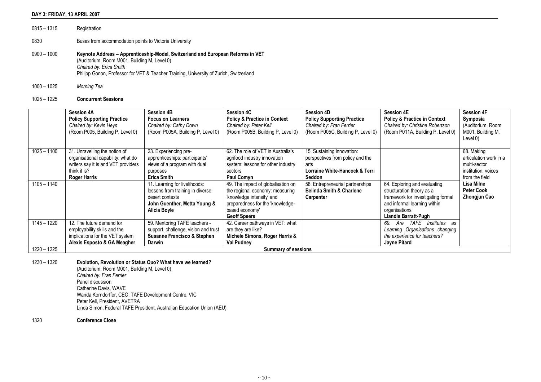### DAY 3: FRIDAY, 13 APRIL 2007

| $0815 - 1315$ | Registration                                                                                                                                                                                                                                         |
|---------------|------------------------------------------------------------------------------------------------------------------------------------------------------------------------------------------------------------------------------------------------------|
| 0830          | Buses from accommodation points to Victoria University                                                                                                                                                                                               |
| $0900 - 1000$ | Keynote Address – Apprenticeship-Model, Switzerland and European Reforms in VET<br>(Auditorium, Room M001, Building M, Level 0)<br>Chaired by: Erica Smith<br>Philipp Gonon, Professor for VET & Teacher Training, University of Zurich, Switzerland |

1000 – 1025 Morning Tea

### 1025 – 1225 Concurrent Sessions

|               | <b>Session 4A</b><br><b>Policy Supporting Practice</b><br>Chaired by: Kevin Heys<br>(Room P005, Building P, Level 0)                              | <b>Session 4B</b><br><b>Focus on Learners</b><br>Chaired by: Cathy Down<br>(Room P005A, Building P, Level 0)                         | <b>Session 4C</b><br><b>Policy &amp; Practice in Context</b><br>Chaired by: Peter Kell<br>(Room P005B, Building P, Level 0)                                                     | <b>Session 4D</b><br><b>Policy Supporting Practice</b><br>Chaired by: Fran Ferrier<br>(Room P005C, Building P, Level 0) | <b>Session 4E</b><br><b>Policy &amp; Practice in Context</b><br>Chaired by: Christine Robertson<br>(Room P011A, Building P, Level 0)                                            | <b>Session 4F</b><br>Symposia<br>(Auditorium, Room<br>M001, Building M,<br>Level 0)           |
|---------------|---------------------------------------------------------------------------------------------------------------------------------------------------|--------------------------------------------------------------------------------------------------------------------------------------|---------------------------------------------------------------------------------------------------------------------------------------------------------------------------------|-------------------------------------------------------------------------------------------------------------------------|---------------------------------------------------------------------------------------------------------------------------------------------------------------------------------|-----------------------------------------------------------------------------------------------|
| $1025 - 1100$ | 31. Unravelling the notion of<br>organisational capability: what do<br>writers say it is and VET providers<br>think it is?<br><b>Roger Harris</b> | 23. Experiencing pre-<br>apprenticeships: participants'<br>views of a program with dual<br>purposes<br><b>Erica Smith</b>            | 62. The role of VET in Australia's<br>agrifood industry innovation<br>system: lessons for other industry<br>sectors<br><b>Paul Comyn</b>                                        | 15. Sustaining innovation:<br>perspectives from policy and the<br>arts<br>Lorraine White-Hancock & Terri<br>Seddon      |                                                                                                                                                                                 | 68. Making<br>articulation work in a<br>multi-sector<br>institution: voices<br>from the field |
| $1105 - 1140$ |                                                                                                                                                   | 11. Learning for livelihoods:<br>lessons from training in diverse<br>desert contexts<br>John Guenther, Metta Young &<br>Alicia Boyle | 49. The impact of globalisation on<br>the regional economy: measuring<br>'knowledge intensity' and<br>preparedness for the 'knowledge-<br>based economy'<br><b>Geoff Speers</b> | 58. Entrepreneurial partnerships<br><b>Belinda Smith &amp; Charlene</b><br>Carpenter                                    | 64. Exploring and evaluating<br>structuration theory as a<br>framework for investigating formal<br>and informal learning within<br>organisations<br><b>Llandis Barratt-Pugh</b> | Lisa Milne<br><b>Peter Cook</b><br><b>Zhongjun Cao</b>                                        |
| $1145 - 1220$ | 12. The future demand for<br>employability skills and the<br>implications for the VET system<br>Alexis Esposto & GA Meagher                       | 59. Mentoring TAFE teachers -<br>support, challenge, vision and trust<br><b>Susanne Francisco &amp; Stephen</b><br>Darwin            | 42. Career pathways in VET: what<br>are they are like?<br>Michele Simons, Roger Harris &<br><b>Val Pudney</b>                                                                   |                                                                                                                         | Institutes<br>TAFE<br>69.<br>Are<br>as<br>Learning Organisations changing<br>the experience for teachers?<br>Jayne Pitard                                                       |                                                                                               |
| $1220 - 1225$ |                                                                                                                                                   |                                                                                                                                      | <b>Summary of sessions</b>                                                                                                                                                      |                                                                                                                         |                                                                                                                                                                                 |                                                                                               |

1230 – 1320 Evolution, Revolution or Status Quo? What have we learned?

(Auditorium, Room M001, Building M, Level 0) Chaired by: Fran Ferrier Panel discussion Catherine Davis, WAVE Wanda Korndorffer, CEO, TAFE Development Centre, VIC Peter Kell, President, AVETRA Linda Simon, Federal TAFE President, Australian Education Union (AEU)

### 1320 Conference Close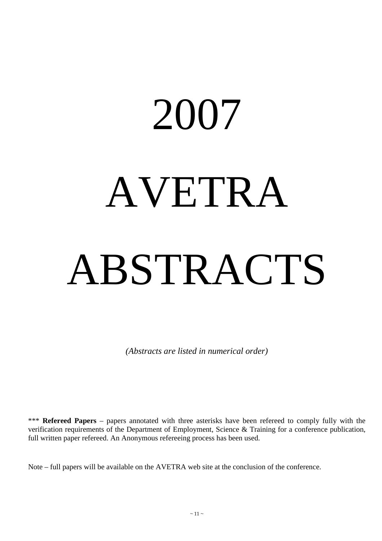# 2007 AVETRA ABSTRACTS

*(Abstracts are listed in numerical order)* 

\*\*\* **Refereed Papers** – papers annotated with three asterisks have been refereed to comply fully with the verification requirements of the Department of Employment, Science & Training for a conference publication, full written paper refereed. An Anonymous refereeing process has been used.

Note – full papers will be available on the AVETRA web site at the conclusion of the conference.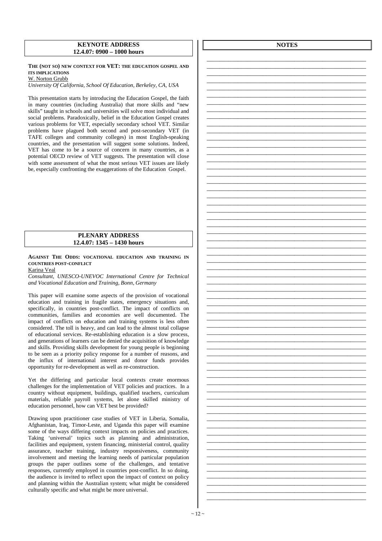### **KEYNOTE ADDRESS 12.4.07: 0900 – 1000 hours**

### **THE (NOT SO) NEW CONTEXT FOR VET: THE EDUCATION GOSPEL AND ITS IMPLICATIONS**  W. Norton Grubb

*University Of California, School Of Education, Berkeley, CA, USA* 

This presentation starts by introducing the Education Gospel, the faith in many countries (including Australia) that more skills and "new skills" taught in schools and universities will solve most individual and social problems. Paradoxically, belief in the Education Gospel creates various problems for VET, especially secondary school VET. Similar problems have plagued both second and post-secondary VET (in TAFE colleges and community colleges) in most English-speaking countries, and the presentation will suggest some solutions. Indeed, VET has come to be a source of concern in many countries, as a potential OECD review of VET suggests. The presentation will close with some assessment of what the most serious VET issues are likely be, especially confronting the exaggerations of the Education Gospel.

### **PLENARY ADDRESS 12.4.07: 1345 – 1430 hours**

**AGAINST THE ODDS: VOCATIONAL EDUCATION AND TRAINING IN COUNTRIES POST-CONFLICT**

### Karina Veal

*Consultant, UNESCO-UNEVOC International Centre for Technical and Vocational Education and Training, Bonn, Germany* 

This paper will examine some aspects of the provision of vocational education and training in fragile states, emergency situations and, specifically, in countries post-conflict. The impact of conflicts on communities, families and economies are well documented. The impact of conflicts on education and training systems is less often considered. The toll is heavy, and can lead to the almost total collapse of educational services. Re-establishing education is a slow process, and generations of learners can be denied the acquisition of knowledge and skills. Providing skills development for young people is beginning to be seen as a priority policy response for a number of reasons, and the influx of international interest and donor funds provides opportunity for re-development as well as re-construction.

Yet the differing and particular local contexts create enormous challenges for the implementation of VET policies and practices. In a country without equipment, buildings, qualified teachers, curriculum materials, reliable payroll systems, let alone skilled ministry of education personnel, how can VET best be provided?

Drawing upon practitioner case studies of VET in Liberia, Somalia, Afghanistan, Iraq, Timor-Leste, and Uganda this paper will examine some of the ways differing context impacts on policies and practices. Taking 'universal' topics such as planning and administration, facilities and equipment, system financing, ministerial control, quality assurance, teacher training, industry responsiveness, community involvement and meeting the learning needs of particular population groups the paper outlines some of the challenges, and tentative responses, currently employed in countries post-conflict. In so doing, the audience is invited to reflect upon the impact of context on policy and planning within the Australian system; what might be considered culturally specific and what might be more universal.

**NOTES**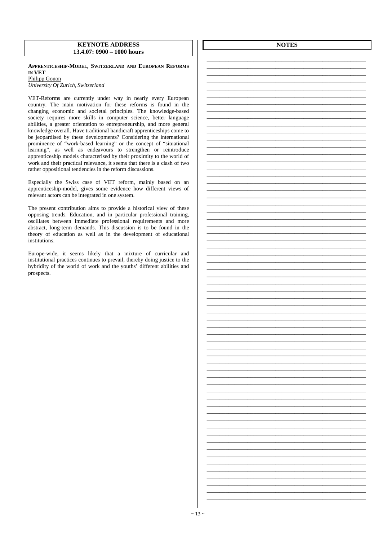### **KEYNOTE ADDRESS 13.4.07: 0900 – 1000 hours**

**APPRENTICESHIP-MODEL, SWITZERLAND AND EUROPEAN REFORMS IN VET** 

Philipp Gonon *University Of Zurich, Switzerland* 

VET-Reforms are currently under way in nearly every European country. The main motivation for these reforms is found in the changing economic and societal principles. The knowledge-based society requires more skills in computer science, better language abilities, a greater orientation to entrepreneurship, and more general knowledge overall. Have traditional handicraft apprenticeships come to be jeopardised by these developments? Considering the international prominence of "work-based learning" or the concept of "situational learning", as well as endeavours to strengthen or reintroduce apprenticeship models characterised by their proximity to the world of work and their practical relevance, it seems that there is a clash of two rather oppositional tendencies in the reform discussions.

Especially the Swiss case of VET reform, mainly based on an apprenticeship-model, gives some evidence how different views of relevant actors can be integrated in one system.

The present contribution aims to provide a historical view of these opposing trends. Education, and in particular professional training, oscillates between immediate professional requirements and more abstract, long-term demands. This discussion is to be found in the theory of education as well as in the development of educational institutions.

Europe-wide, it seems likely that a mixture of curricular and institutional practices continues to prevail, thereby doing justice to the hybridity of the world of work and the youths' different abilities and prospects.

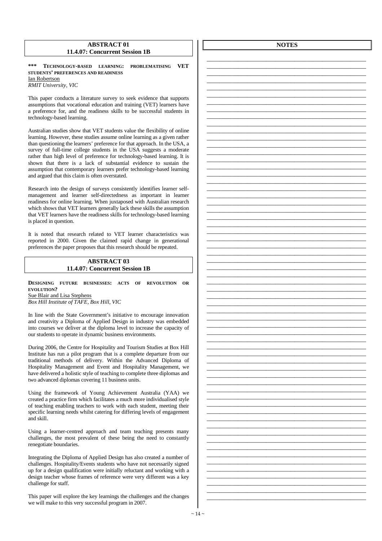### **ABSTRACT 01 11.4.07: Concurrent Session 1B**

**\*\*\* TECHNOLOGY-BASED LEARNING: PROBLEMATISING VET STUDENTS' PREFERENCES AND READINESS** Ian Robertson *RMIT University, VIC* 

This paper conducts a literature survey to seek evidence that supports assumptions that vocational education and training (VET) learners have a preference for, and the readiness skills to be successful students in technology-based learning.

Australian studies show that VET students value the flexibility of online learning. However, these studies assume online learning as a given rather than questioning the learners' preference for that approach. In the USA, a survey of full-time college students in the USA suggests a moderate rather than high level of preference for technology-based learning. It is shown that there is a lack of substantial evidence to sustain the assumption that contemporary learners prefer technology-based learning and argued that this claim is often overstated.

Research into the design of surveys consistently identifies learner selfmanagement and learner self-directedness as important in learner readiness for online learning. When juxtaposed with Australian research which shows that VET learners generally lack these skills the assumption that VET learners have the readiness skills for technology-based learning is placed in question.

It is noted that research related to VET learner characteristics was reported in 2000. Given the claimed rapid change in generational preferences the paper proposes that this research should be repeated.

### **ABSTRACT 03 11.4.07: Concurrent Session 1B**

**DESIGNING FUTURE BUSINESSES: ACTS OF REVOLUTION OR EVOLUTION?**  Sue Blair and Lisa Stephens

*Box Hill Institute of TAFE, Box Hill, VIC* 

In line with the State Government's initiative to encourage innovation and creativity a Diploma of Applied Design in industry was embedded into courses we deliver at the diploma level to increase the capacity of our students to operate in dynamic business environments.

During 2006, the Centre for Hospitality and Tourism Studies at Box Hill Institute has run a pilot program that is a complete departure from our traditional methods of delivery. Within the Advanced Diploma of Hospitality Management and Event and Hospitality Management, we have delivered a holistic style of teaching to complete three diplomas and two advanced diplomas covering 11 business units.

Using the framework of Young Achievement Australia (YAA) we created a practice firm which facilitates a much more individualised style of teaching enabling teachers to work with each student, meeting their specific learning needs whilst catering for differing levels of engagement and skill.

Using a learner-centred approach and team teaching presents many challenges, the most prevalent of these being the need to constantly renegotiate boundaries.

Integrating the Diploma of Applied Design has also created a number of challenges. Hospitality/Events students who have not necessarily signed up for a design qualification were initially reluctant and working with a design teacher whose frames of reference were very different was a key challenge for staff.

This paper will explore the key learnings the challenges and the changes we will make to this very successful program in 2007.

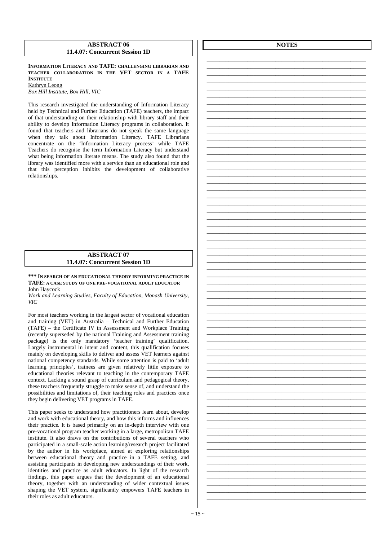### **ABSTRACT 06 11.4.07: Concurrent Session 1D**

**INFORMATION LITERACY AND TAFE: CHALLENGING LIBRARIAN AND TEACHER COLLABORATION IN THE VET SECTOR IN A TAFE INSTITUTE** Kathryn Leong

*Box Hill Institute, Box Hill, VIC* 

This research investigated the understanding of Information Literacy held by Technical and Further Education (TAFE) teachers, the impact of that understanding on their relationship with library staff and their ability to develop Information Literacy programs in collaboration. It found that teachers and librarians do not speak the same language when they talk about Information Literacy. TAFE Librarians concentrate on the 'Information Literacy process' while TAFE Teachers do recognise the term Information Literacy but understand what being information literate means. The study also found that the library was identified more with a service than an educational role and that this perception inhibits the development of collaborative relationships.

### **ABSTRACT 07 11.4.07: Concurrent Session 1D**

**\*\*\* IN SEARCH OF AN EDUCATIONAL THEORY INFORMING PRACTICE IN TAFE: A CASE STUDY OF ONE PRE-VOCATIONAL ADULT EDUCATOR** John Haycock

*Work and Learning Studies, Faculty of Education, Monash University, VIC* 

For most teachers working in the largest sector of vocational education and training (VET) in Australia – Technical and Further Education (TAFE) – the Certificate IV in Assessment and Workplace Training (recently superseded by the national Training and Assessment training package) is the only mandatory 'teacher training' qualification. Largely instrumental in intent and content, this qualification focuses mainly on developing skills to deliver and assess VET learners against national competency standards. While some attention is paid to 'adult learning principles', trainees are given relatively little exposure to educational theories relevant to teaching in the contemporary TAFE context. Lacking a sound grasp of curriculum and pedagogical theory, these teachers frequently struggle to make sense of, and understand the possibilities and limitations of, their teaching roles and practices once they begin delivering VET programs in TAFE.

This paper seeks to understand how practitioners learn about, develop and work with educational theory, and how this informs and influences their practice. It is based primarily on an in-depth interview with one pre-vocational program teacher working in a large, metropolitan TAFE institute. It also draws on the contributions of several teachers who participated in a small-scale action learning/research project facilitated by the author in his workplace, aimed at exploring relationships between educational theory and practice in a TAFE setting, and assisting participants in developing new understandings of their work, identities and practice as adult educators. In light of the research findings, this paper argues that the development of an educational theory, together with an understanding of wider contextual issues shaping the VET system, significantly empowers TAFE teachers in their roles as adult educators.

**NOTES**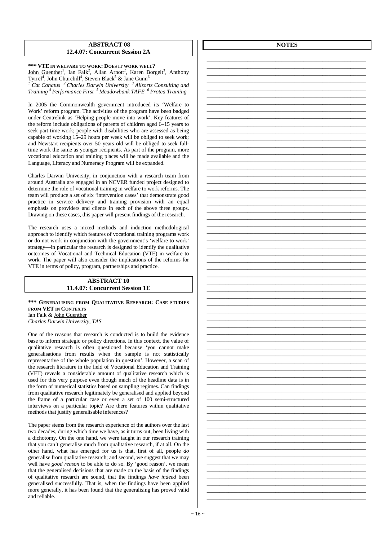### **ABSTRACT 08 12.4.07: Concurrent Session 2A**

**\*\*\* VTE IN WELFARE TO WORK: DOES IT WORK WELL?**  John Guenther<sup>1</sup>, Ian Falk<sup>2</sup>, Allan Arnott<sup>2</sup>, Karen Borgelt<sup>3</sup>, Anthony

Tyrrel<sup>4</sup>, John Churchill<sup>4</sup>, Steven Black<sup>5</sup> & Jane Gunn<sup>6</sup> *1 Cat Conatus <sup>2</sup>Charles Darwin University <sup>3</sup>Allsorts Consulting and Training <sup>4</sup>Performance First <sup>5</sup>Meadowbank TAFE <sup>6</sup>Protea Training* 

In 2005 the Commonwealth government introduced its 'Welfare to Work' reform program. The activities of the program have been badged under Centrelink as 'Helping people move into work'. Key features of the reform include obligations of parents of children aged 6–15 years to seek part time work; people with disabilities who are assessed as being capable of working 15–29 hours per week will be obliged to seek work; and Newstart recipients over 50 years old will be obliged to seek fulltime work the same as younger recipients. As part of the program, more vocational education and training places will be made available and the Language, Literacy and Numeracy Program will be expanded.

Charles Darwin University, in conjunction with a research team from around Australia are engaged in an NCVER funded project designed to determine the role of vocational training in welfare to work reforms. The team will produce a set of six 'intervention cases' that demonstrate good practice in service delivery and training provision with an equal emphasis on providers and clients in each of the above three groups. Drawing on these cases, this paper will present findings of the research.

The research uses a mixed methods and induction methodological approach to identify which features of vocational training programs work or do not work in conjunction with the government's 'welfare to work' strategy—in particular the research is designed to identify the qualitative outcomes of Vocational and Technical Education (VTE) in welfare to work. The paper will also consider the implications of the reforms for VTE in terms of policy, program, partnerships and practice.

### **ABSTRACT 10 11.4.07: Concurrent Session 1E**

**\*\*\* GENERALISING FROM QUALITATIVE RESEARCH: CASE STUDIES FROM VET IN CONTEXTS** Ian Falk & John Guenther *Charles Darwin University, TAS* 

One of the reasons that research is conducted is to build the evidence base to inform strategic or policy directions. In this context, the value of qualitative research is often questioned because 'you cannot make generalisations from results when the sample is not statistically representative of the whole population in question'. However, a scan of the research literature in the field of Vocational Education and Training (VET) reveals a considerable amount of qualitative research which is used for this very purpose even though much of the headline data is in the form of numerical statistics based on sampling regimes. Can findings from qualitative research legitimately be generalised and applied beyond the frame of a particular case or even a set of 100 semi-structured interviews on a particular topic? Are there features within qualitative methods that justify generalisable inferences?

The paper stems from the research experience of the authors over the last two decades, during which time we have, as it turns out, been living with a dichotomy. On the one hand, we were taught in our research training that you can't generalise much from qualitative research, if at all. On the other hand, what has emerged for us is that, first of all, people *do*  generalise from qualitative research; and second, we suggest that we may well have *good reason* to be able to do so. By 'good reason', we mean that the generalised decisions that are made on the basis of the findings of qualitative research are sound, that the findings *have indeed* been generalised successfully. That is, when the findings have been applied more generally, it has been found that the generalising has proved valid and reliable.

**NOTES** 

\_\_\_\_\_\_\_\_\_\_\_\_\_\_\_\_\_\_\_\_\_\_\_\_\_\_\_\_\_\_\_\_\_\_\_\_\_\_\_\_\_\_\_\_\_\_\_\_\_\_\_

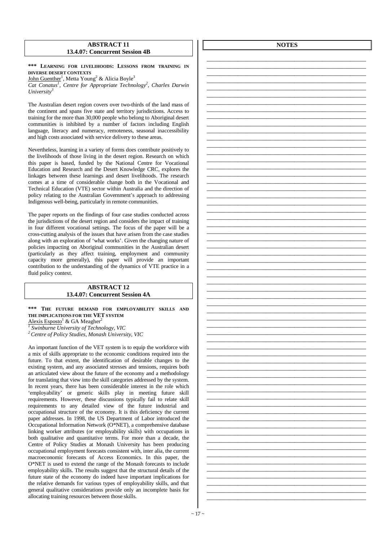### **ABSTRACT 11 13.4.07: Concurrent Session 4B**

**\*\*\* LEARNING FOR LIVELIHOODS: LESSONS FROM TRAINING IN DIVERSE DESERT CONTEXTS**

John Guenther<sup>1</sup>, Metta Young<sup>2</sup> & Alicia Boyle<sup>3</sup>

*Cat Conatus<sup>1</sup> , Centre for Appropriate Technology<sup>2</sup> , Charles Darwin University<sup>3</sup>*

The Australian desert region covers over two-thirds of the land mass of the continent and spans five state and territory jurisdictions. Access to training for the more than 30,000 people who belong to Aboriginal desert communities is inhibited by a number of factors including English language, literacy and numeracy, remoteness, seasonal inaccessibility and high costs associated with service delivery to these areas.

Nevertheless, learning in a variety of forms does contribute positively to the livelihoods of those living in the desert region. Research on which this paper is based, funded by the National Centre for Vocational Education and Research and the Desert Knowledge CRC, explores the linkages between these learnings and desert livelihoods. The research comes at a time of considerable change both in the Vocational and Technical Education (VTE) sector within Australia and the direction of policy relating to the Australian Government's approach to addressing Indigenous well-being, particularly in remote communities.

The paper reports on the findings of four case studies conducted across the jurisdictions of the desert region and considers the impact of training in four different vocational settings. The focus of the paper will be a cross-cutting analysis of the issues that have arisen from the case studies along with an exploration of 'what works'. Given the changing nature of policies impacting on Aboriginal communities in the Australian desert (particularly as they affect training, employment and community capacity more generally), this paper will provide an important contribution to the understanding of the dynamics of VTE practice in a fluid policy context.

### **ABSTRACT 12 13.4.07: Concurrent Session 4A**

**\*\*\* THE FUTURE DEMAND FOR EMPLOYABILITY SKILLS AND THE IMPLICATIONS FOR THE VET SYSTEM**

 $\frac{\text{Alexis Esposto}^1}{\text{Sublturna University of Techn}}$  *Swinburne University of Technology, VIC* 

*<sup>2</sup>Centre of Policy Studies, Monash University, VIC* 

An important function of the VET system is to equip the workforce with a mix of skills appropriate to the economic conditions required into the future. To that extent, the identification of desirable changes to the existing system, and any associated stresses and tensions, requires both an articulated view about the future of the economy and a methodology for translating that view into the skill categories addressed by the system. In recent years, there has been considerable interest in the role which 'employability' or generic skills play in meeting future skill requirements. However, these discussions typically fail to relate skill requirements to any detailed view of the future industrial and occupational structure of the economy. It is this deficiency the current paper addresses. In 1998, the US Department of Labor introduced the Occupational Information Network (O\*NET), a comprehensive database linking worker attributes (or employability skills) with occupations in both qualitative and quantitative terms. For more than a decade, the Centre of Policy Studies at Monash University has been producing occupational employment forecasts consistent with, inter alia, the current macroeconomic forecasts of Access Economics. In this paper, the O\*NET is used to extend the range of the Monash forecasts to include employability skills. The results suggest that the structural details of the future state of the economy do indeed have important implications for the relative demands for various types of employability skills, and that general qualitative considerations provide only an incomplete basis for allocating training resources between those skills.

**NOTES**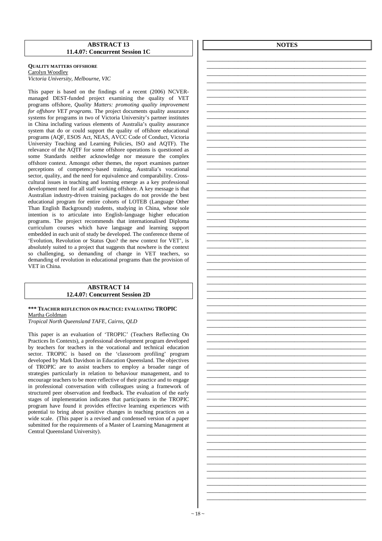### **ABSTRACT 13 11.4.07: Concurrent Session 1C**

### **QUALITY MATTERS OFFSHORE** Carolyn Woodley *Victoria University, Melbourne, VIC*

This paper is based on the findings of a recent (2006) NCVERmanaged DEST-funded project examining the quality of VET programs offshore, *Quality Matters: promoting quality improvement for offshore VET programs*. The project documents quality assurance systems for programs in two of Victoria University's partner institutes in China including various elements of Australia's quality assurance system that do or could support the quality of offshore educational programs (AQF, ESOS Act, NEAS, AVCC Code of Conduct, Victoria University Teaching and Learning Policies, ISO and AQTF). The relevance of the AQTF for some offshore operations is questioned as some Standards neither acknowledge nor measure the complex offshore context. Amongst other themes, the report examines partner perceptions of competency-based training, Australia's vocational sector, quality, and the need for equivalence and comparability. Crosscultural issues in teaching and learning emerge as a key professional development need for all staff working offshore. A key message is that Australian industry-driven training packages do not provide the best educational program for entire cohorts of LOTEB (Language Other Than English Background) students, studying in China, whose sole intention is to articulate into English-language higher education programs. The project recommends that internationalised Diploma curriculum courses which have language and learning support embedded in each unit of study be developed. The conference theme of 'Evolution, Revolution or Status Quo? the new context for VET', is absolutely suited to a project that suggests that nowhere is the context so challenging, so demanding of change in VET teachers, so demanding of revolution in educational programs than the provision of VET in China.

### **ABSTRACT 14 12.4.07: Concurrent Session 2D**

**\*\*\* TEACHER REFLECTION ON PRACTICE: EVALUATING TROPIC**  Martha Goldman *Tropical North Queensland TAFE, Cairns, QLD* 

This paper is an evaluation of 'TROPIC' (Teachers Reflecting On Practices In Contexts), a professional development program developed by teachers for teachers in the vocational and technical education sector. TROPIC is based on the 'classroom profiling' program developed by Mark Davidson in Education Queensland. The objectives of TROPIC are to assist teachers to employ a broader range of strategies particularly in relation to behaviour management, and to encourage teachers to be more reflective of their practice and to engage in professional conversation with colleagues using a framework of structured peer observation and feedback. The evaluation of the early stages of implementation indicates that participants in the TROPIC program have found it provides effective learning experiences with potential to bring about positive changes in teaching practices on a wide scale. (This paper is a revised and condensed version of a paper submitted for the requirements of a Master of Learning Management at Central Queensland University).

**NOTES**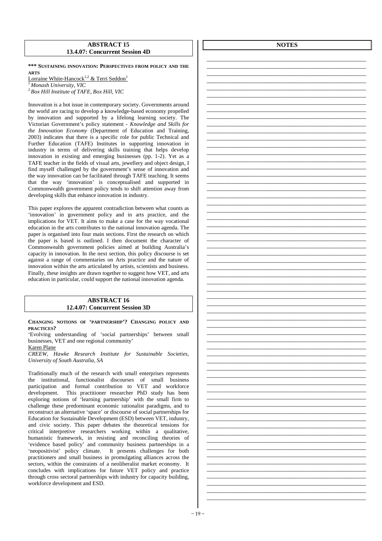### **ABSTRACT 15 13.4.07: Concurrent Session 4D**

**\*\*\* SUSTAINING INNOVATION: PERSPECTIVES FROM POLICY AND THE ARTS**

Lorraine White-Hancock<sup>1,2</sup> & Terri Seddon<sup>1</sup> *<sup>1</sup>Monash University, VIC* 

*<sup>2</sup>Box Hill Institute of TAFE, Box Hill, VIC* 

Innovation is a hot issue in contemporary society. Governments around the world are racing to develop a knowledge-based economy propelled by innovation and supported by a lifelong learning society. The Victorian Government's policy statement - *Knowledge and Skills for the Innovation Economy* (Department of Education and Training, 2003) indicates that there is a specific role for public Technical and Further Education (TAFE) Institutes in supporting innovation in industry in terms of delivering skills training that helps develop innovation in existing and emerging businesses (pp. 1-2). Yet as a TAFE teacher in the fields of visual arts, jewellery and object design, I find myself challenged by the government's sense of innovation and the way innovation can be facilitated through TAFE teaching. It seems that the way 'innovation' is conceptualised and supported in Commonwealth government policy tends to shift attention away from developing skills that enhance innovation in industry.

This paper explores the apparent contradiction between what counts as 'innovation' in government policy and in arts practice, and the implications for VET. It aims to make a case for the way vocational education in the arts contributes to the national innovation agenda. The paper is organised into four main sections. First the research on which the paper is based is outlined. I then document the character of Commonwealth government policies aimed at building Australia's capacity in innovation. In the next section, this policy discourse is set against a range of commentaries on Arts practice and the nature of innovation within the arts articulated by artists, scientists and business. Finally, these insights are drawn together to suggest how VET, and arts education in particular, could support the national innovation agenda.

### **ABSTRACT 16 12.4.07: Concurrent Session 3D**

**CHANGING NOTIONS OF 'PARTNERSHIP'? CHANGING POLICY AND PRACTICES?**

'Evolving understanding of 'social partnerships' between small businesses, VET and one regional community'

### Karen Plane

*CREEW, Hawke Research Institute for Sustainable Societies, University of South Australia, SA* 

Traditionally much of the research with small enterprises represents the institutional, functionalist discourses of small business participation and formal contribution to VET and workforce development. This practitioner researcher PhD study has been exploring notions of 'learning partnership' with the small firm to challenge these predominant economic rationalist paradigms, and to reconstruct an alternative 'space' or discourse of social partnerships for Education for Sustainable Development (ESD) between VET, industry, and civic society. This paper debates the theoretical tensions for critical interpretive researchers working within a qualitative, humanistic framework, in resisting and reconciling theories of 'evidence based policy' and community business partnerships in a 'neopositivist' policy climate. It presents challenges for both practitioners and small business in promulgating alliances across the sectors, within the constraints of a neoliberalist market economy. It concludes with implications for future VET policy and practice through cross sectoral partnerships with industry for capacity building, workforce development and ESD.

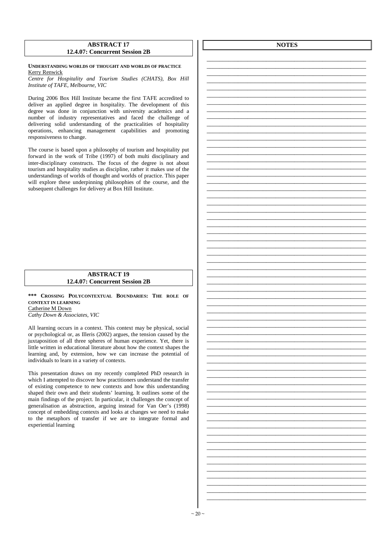### **ABSTRACT 17 12.4.07: Concurrent Session 2B**

### **UNDERSTANDING WORLDS OF THOUGHT AND WORLDS OF PRACTICE**  Kerry Renwick

*Centre for Hospitality and Tourism Studies (CHATS), Box Hill Institute of TAFE, Melbourne, VIC* 

During 2006 Box Hill Institute became the first TAFE accredited to deliver an applied degree in hospitality. The development of this degree was done in conjunction with university academics and a number of industry representatives and faced the challenge of delivering solid understanding of the practicalities of hospitality operations, enhancing management capabilities and promoting responsiveness to change.

The course is based upon a philosophy of tourism and hospitality put forward in the work of Tribe (1997) of both multi disciplinary and inter-disciplinary constructs. The focus of the degree is not about tourism and hospitality studies as discipline, rather it makes use of the understandings of worlds of thought and worlds of practice. This paper will explore these underpinning philosophies of the course, and the subsequent challenges for delivery at Box Hill Institute.

### **ABSTRACT 19 12.4.07: Concurrent Session 2B**

**\*\*\* CROSSING POLYCONTEXTUAL BOUNDARIES: THE ROLE OF CONTEXT IN LEARNING** Catherine M Down

*Cathy Down & Associates, VIC*

All learning occurs in a context. This context may be physical, social or psychological or, as Illeris (2002) argues, the tension caused by the juxtaposition of all three spheres of human experience. Yet, there is little written in educational literature about how the context shapes the learning and, by extension, how we can increase the potential of individuals to learn in a variety of contexts.

This presentation draws on my recently completed PhD research in which I attempted to discover how practitioners understand the transfer of existing competence to new contexts and how this understanding shaped their own and their students' learning. It outlines some of the main findings of the project. In particular, it challenges the concept of generalisation as abstraction, arguing instead for Van Oer's (1998) concept of embedding contexts and looks at changes we need to make to the metaphors of transfer if we are to integrate formal and experiential learning

**NOTES**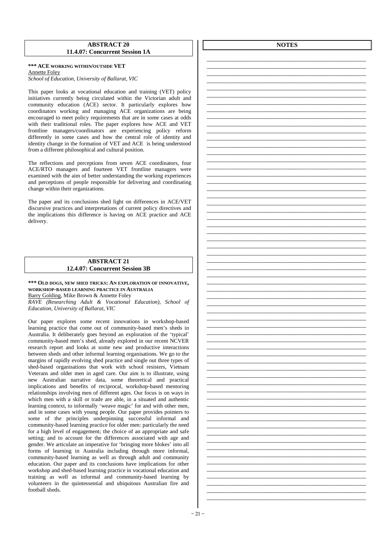### **ABSTRACT 20 11.4.07: Concurrent Session 1A**

### **\*\*\* ACE WORKING WITHIN/OUTSIDE VET**  Annette Foley *School of Education, University of Ballarat, VIC*

This paper looks at vocational education and training (VET) policy initiatives currently being circulated within the Victorian adult and community education (ACE) sector. It particularly explores how coordinators working and managing ACE organizations are being encouraged to meet policy requirements that are in some cases at odds with their traditional roles. The paper explores how ACE and VET frontline managers/coordinators are experiencing policy reform differently in some cases and how the central role of identity and identity change in the formation of VET and ACE is being understood from a different philosophical and cultural position.

The reflections and perceptions from seven ACE coordinators, four ACE/RTO managers and fourteen VET frontline managers were examined with the aim of better understanding the working experiences and perceptions of people responsible for delivering and coordinating change within their organizations.

The paper and its conclusions shed light on differences in ACE/VET discursive practices and interpretations of current policy directives and the implications this difference is having on ACE practice and ACE delivery.

### **ABSTRACT 21 12.4.07: Concurrent Session 3B**

**\*\*\* OLD DOGS, NEW SHED TRICKS: AN EXPLORATION OF INNOVATIVE, WORKSHOP-BASED LEARNING PRACTICE IN AUSTRALIA**

Barry Golding, Mike Brown & Annette Foley

*RAVE (Researching Adult & Vocational Education), School of Education, University of Ballarat, VIC* 

Our paper explores some recent innovations in workshop-based learning practice that come out of community-based men's sheds in Australia. It deliberately goes beyond an exploration of the 'typical' community-based men's shed, already explored in our recent NCVER research report and looks at some new and productive interactions between sheds and other informal learning organisations. We go to the margins of rapidly evolving shed practice and single out three types of shed-based organisations that work with school resisters, Vietnam Veterans and older men in aged care. Our aim is to illustrate, using new Australian narrative data, some theoretical and practical implications and benefits of reciprocal, workshop-based mentoring relationships involving men of different ages. Our focus is on ways in which men with a skill or trade are able, in a situated and authentic learning context, to informally 'weave magic' for and with other men, and in some cases with young people. Our paper provides pointers to some of the principles underpinning successful informal and community-based learning practice for older men: particularly the need for a high level of engagement; the choice of an appropriate and safe setting; and to account for the differences associated with age and gender. We articulate an imperative for 'bringing more blokes' into all forms of learning in Australia including through more informal, community-based learning as well as through adult and community education. Our paper and its conclusions have implications for other workshop and shed-based learning practice in vocational education and training as well as informal and community-based learning by volunteers in the quintessential and ubiquitous Australian fire and football sheds.

**NOTES**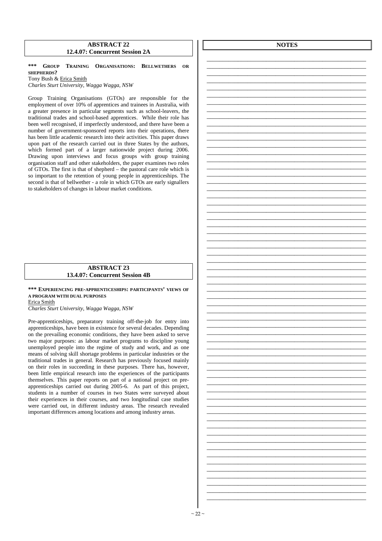### **ABSTRACT 22 12.4.07: Concurrent Session 2A**

**\*\*\* GROUP TRAINING ORGANISATIONS: BELLWETHERS OR SHEPHERDS?**  Tony Bush & Erica Smith

*Charles Sturt University, Wagga Wagga, NSW* 

Group Training Organisations (GTOs) are responsible for the employment of over 10% of apprentices and trainees in Australia, with a greater presence in particular segments such as school-leavers, the traditional trades and school-based apprentices. While their role has been well recognised, if imperfectly understood, and there have been a number of government-sponsored reports into their operations, there has been little academic research into their activities. This paper draws upon part of the research carried out in three States by the authors, which formed part of a larger nationwide project during 2006. Drawing upon interviews and focus groups with group training organisation staff and other stakeholders, the paper examines two roles of GTOs. The first is that of shepherd – the pastoral care role which is so important to the retention of young people in apprenticeships. The second is that of bellwether - a role in which GTOs are early signallers to stakeholders of changes in labour market conditions.

### **ABSTRACT 23 13.4.07: Concurrent Session 4B**

**\*\*\* EXPERIENCING PRE-APPRENTICESHIPS: PARTICIPANTS' VIEWS OF A PROGRAM WITH DUAL PURPOSES** Erica Smith

*Charles Sturt University, Wagga Wagga, NSW* 

Pre-apprenticeships, preparatory training off-the-job for entry into apprenticeships, have been in existence for several decades. Depending on the prevailing economic conditions, they have been asked to serve two major purposes: as labour market programs to discipline young unemployed people into the regime of study and work, and as one means of solving skill shortage problems in particular industries or the traditional trades in general. Research has previously focused mainly on their roles in succeeding in these purposes. There has, however, been little empirical research into the experiences of the participants themselves. This paper reports on part of a national project on preapprenticeships carried out during 2005-6. As part of this project, students in a number of courses in two States were surveyed about their experiences in their courses, and two longitudinal case studies were carried out, in different industry areas. The research revealed important differences among locations and among industry areas.

**NOTES**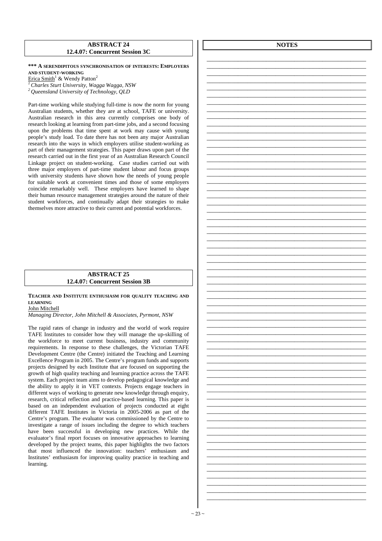### **ABSTRACT 24 12.4.07: Concurrent Session 3C**

**\*\*\* A SERENDIPITOUS SYNCHRONISATION OF INTERESTS: EMPLOYERS AND STUDENT-WORKING**

Erica Smith<sup>1</sup> & Wendy Patton<sup>2</sup>

*<sup>1</sup>Charles Sturt University, Wagga Wagga, NSW* 

*<sup>2</sup>Queensland University of Technology, QLD* 

Part-time working while studying full-time is now the norm for young Australian students, whether they are at school, TAFE or university. Australian research in this area currently comprises one body of research looking at learning from part-time jobs, and a second focusing upon the problems that time spent at work may cause with young people's study load. To date there has not been any major Australian research into the ways in which employers utilise student-working as part of their management strategies. This paper draws upon part of the research carried out in the first year of an Australian Research Council Linkage project on student-working. Case studies carried out with three major employers of part-time student labour and focus groups with university students have shown how the needs of young people for suitable work at convenient times and those of some employers coincide remarkably well. These employers have learned to shape their human resource management strategies around the nature of their student workforces, and continually adapt their strategies to make themselves more attractive to their current and potential workforces.

### **ABSTRACT 25 12.4.07: Concurrent Session 3B**

**TEACHER AND INSTITUTE ENTHUSIASM FOR QUALITY TEACHING AND LEARNING**

John Mitchell

*Managing Director, John Mitchell & Associates, Pyrmont, NSW* 

The rapid rates of change in industry and the world of work require TAFE Institutes to consider how they will manage the up-skilling of the workforce to meet current business, industry and community requirements. In response to these challenges, the Victorian TAFE Development Centre (the Centre) initiated the Teaching and Learning Excellence Program in 2005. The Centre's program funds and supports projects designed by each Institute that are focused on supporting the growth of high quality teaching and learning practice across the TAFE system. Each project team aims to develop pedagogical knowledge and the ability to apply it in VET contexts. Projects engage teachers in different ways of working to generate new knowledge through enquiry, research, critical reflection and practice-based learning. This paper is based on an independent evaluation of projects conducted at eight different TAFE Institutes in Victoria in 2005-2006 as part of the Centre's program. The evaluator was commissioned by the Centre to investigate a range of issues including the degree to which teachers have been successful in developing new practices. While the evaluator's final report focuses on innovative approaches to learning developed by the project teams, this paper highlights the two factors that most influenced the innovation: teachers' enthusiasm and Institutes' enthusiasm for improving quality practice in teaching and learning.

**NOTES**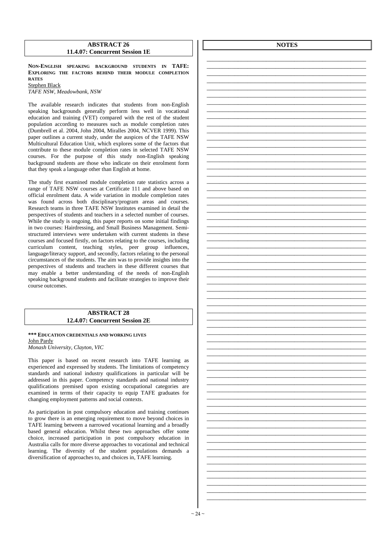### **ABSTRACT 26 11.4.07: Concurrent Session 1E**

**NON-ENGLISH SPEAKING BACKGROUND STUDENTS IN TAFE: EXPLORING THE FACTORS BEHIND THEIR MODULE COMPLETION RATES** Stephen Black

*TAFE NSW, Meadowbank, NSW* 

The available research indicates that students from non-English speaking backgrounds generally perform less well in vocational education and training (VET) compared with the rest of the student population according to measures such as module completion rates (Dumbrell et al. 2004, John 2004, Miralles 2004, NCVER 1999). This paper outlines a current study, under the auspices of the TAFE NSW Multicultural Education Unit, which explores some of the factors that contribute to these module completion rates in selected TAFE NSW courses. For the purpose of this study non-English speaking background students are those who indicate on their enrolment form that they speak a language other than English at home.

The study first examined module completion rate statistics across a range of TAFE NSW courses at Certificate 111 and above based on official enrolment data. A wide variation in module completion rates was found across both disciplinary/program areas and courses. Research teams in three TAFE NSW Institutes examined in detail the perspectives of students and teachers in a selected number of courses. While the study is ongoing, this paper reports on some initial findings in two courses: Hairdressing, and Small Business Management. Semistructured interviews were undertaken with current students in these courses and focused firstly, on factors relating to the courses, including curriculum content, teaching styles, peer group influences, language/literacy support, and secondly, factors relating to the personal circumstances of the students. The aim was to provide insights into the perspectives of students and teachers in these different courses that may enable a better understanding of the needs of non-English speaking background students and facilitate strategies to improve their course outcomes.

### **ABSTRACT 28 12.4.07: Concurrent Session 2E**

**\*\*\* EDUCATION CREDENTIALS AND WORKING LIVES** John Pardy *Monash University, Clayton, VIC* 

This paper is based on recent research into TAFE learning as experienced and expressed by students. The limitations of competency standards and national industry qualifications in particular will be addressed in this paper. Competency standards and national industry qualifications premised upon existing occupational categories are examined in terms of their capacity to equip TAFE graduates for changing employment patterns and social contexts.

As participation in post compulsory education and training continues to grow there is an emerging requirement to move beyond choices in TAFE learning between a narrowed vocational learning and a broadly based general education. Whilst these two approaches offer some choice, increased participation in post compulsory education in Australia calls for more diverse approaches to vocational and technical learning. The diversity of the student populations demands a diversification of approaches to, and choices in, TAFE learning.

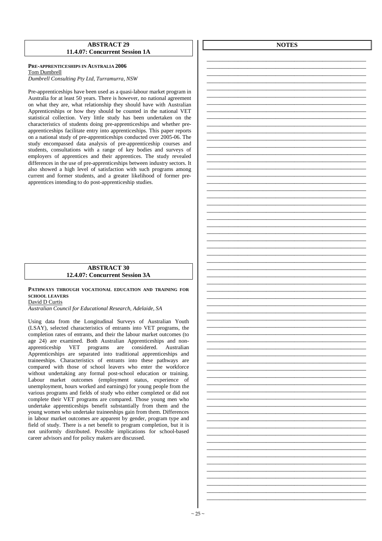### **ABSTRACT 29 11.4.07: Concurrent Session 1A**

### **PRE-APPRENTICESHIPS IN AUSTRALIA 2006**  Tom Dumbrell *Dumbrell Consulting Pty Ltd, Turramurra, NSW*

Pre-apprenticeships have been used as a quasi-labour market program in Australia for at least 50 years. There is however, no national agreement on what they are, what relationship they should have with Australian Apprenticeships or how they should be counted in the national VET statistical collection. Very little study has been undertaken on the characteristics of students doing pre-apprenticeships and whether preapprenticeships facilitate entry into apprenticeships. This paper reports on a national study of pre-apprenticeships conducted over 2005-06. The study encompassed data analysis of pre-apprenticeship courses and students, consultations with a range of key bodies and surveys of employers of apprentices and their apprentices. The study revealed differences in the use of pre-apprenticeships between industry sectors. It also showed a high level of satisfaction with such programs among current and former students, and a greater likelihood of former preapprentices intending to do post-apprenticeship studies.

### **ABSTRACT 30 12.4.07: Concurrent Session 3A**

**PATHWAYS THROUGH VOCATIONAL EDUCATION AND TRAINING FOR SCHOOL LEAVERS** David D Curtis

*Australian Council for Educational Research, Adelaide, SA* 

Using data from the Longitudinal Surveys of Australian Youth (LSAY), selected characteristics of entrants into VET programs, the completion rates of entrants, and their the labour market outcomes (to age 24) are examined. Both Australian Apprenticeships and nonapprenticeship VET programs are considered. Australian Apprenticeships are separated into traditional apprenticeships and traineeships. Characteristics of entrants into these pathways are compared with those of school leavers who enter the workforce without undertaking any formal post-school education or training. Labour market outcomes (employment status, experience of unemployment, hours worked and earnings) for young people from the various programs and fields of study who either completed or did not complete their VET programs are compared. Those young men who undertake apprenticeships benefit substantially from them and the young women who undertake traineeships gain from them. Differences in labour market outcomes are apparent by gender, program type and field of study. There is a net benefit to program completion, but it is not uniformly distributed. Possible implications for school-based career advisors and for policy makers are discussed.

**NOTES**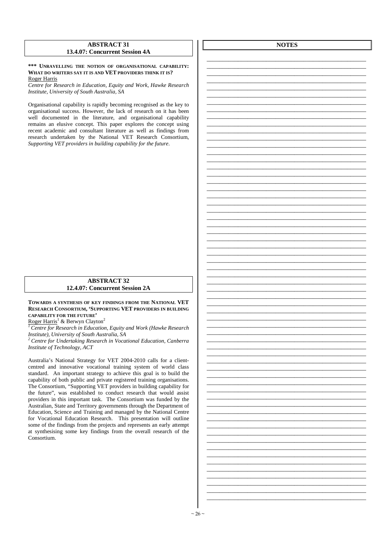### **ABSTRACT 31 13.4.07: Concurrent Session 4A**

### **\*\*\* UNRAVELLING THE NOTION OF ORGANISATIONAL CAPABILITY: WHAT DO WRITERS SAY IT IS AND VET PROVIDERS THINK IT IS?**  Roger Harris

*Centre for Research in Education, Equity and Work, Hawke Research Institute, University of South Australia, SA* 

Organisational capability is rapidly becoming recognised as the key to organisational success. However, the lack of research on it has been well documented in the literature, and organisational capability remains an elusive concept. This paper explores the concept using recent academic and consultant literature as well as findings from research undertaken by the National VET Research Consortium, *Supporting VET providers in building capability for the future*.

### **ABSTRACT 32 12.4.07: Concurrent Session 2A**

**TOWARDS A SYNTHESIS OF KEY FINDINGS FROM THE NATIONAL VET RESEARCH CONSORTIUM, 'SUPPORTING VET PROVIDERS IN BUILDING CAPABILITY FOR THE FUTURE'** 

Roger Harris<sup>1</sup> & Berwyn Clayton<sup>2</sup>

*<sup>1</sup>Centre for Research in Education, Equity and Work (Hawke Research Institute), University of South Australia, SA* 

*<sup>2</sup>Centre for Undertaking Research in Vocational Education, Canberra Institute of Technology, ACT* 

Australia's National Strategy for VET 2004-2010 calls for a clientcentred and innovative vocational training system of world class standard. An important strategy to achieve this goal is to build the capability of both public and private registered training organisations. The Consortium, "Supporting VET providers in building capability for the future", was established to conduct research that would assist providers in this important task. The Consortium was funded by the Australian, State and Territory governments through the Department of Education, Science and Training and managed by the National Centre for Vocational Education Research. This presentation will outline some of the findings from the projects and represents an early attempt at synthesising some key findings from the overall research of the Consortium.

**NOTES**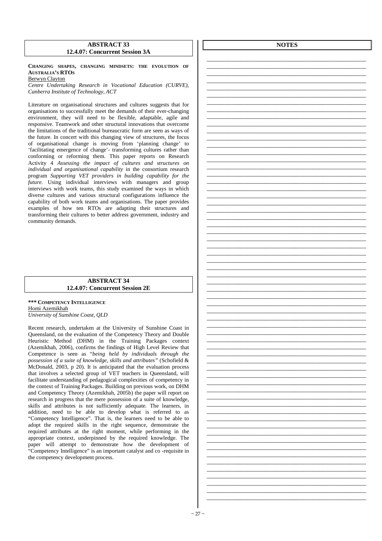### **ABSTRACT 33 12.4.07: Concurrent Session 3A**

**CHANGING SHAPES, CHANGING MINDSETS: THE EVOLUTION OF AUSTRALIA'S RTOS** Berwyn Clayton

*Centre Undertaking Research in Vocational Education (CURVE), Canberra Institute of Technology, ACT* 

Literature on organisational structures and cultures suggests that for organisations to successfully meet the demands of their ever-changing environment, they will need to be flexible, adaptable, agile and responsive. Teamwork and other structural innovations that overcome the limitations of the traditional bureaucratic form are seen as ways of the future. In concert with this changing view of structures, the focus of organisational change is moving from 'planning change' to 'facilitating emergence of change'- transforming cultures rather than conforming or reforming them. This paper reports on Research Activity 4 *Assessing the impact of cultures and structures on individual and organisational capability* in the consortium research program *Supporting VET providers in building capability for the future*. Using individual interviews with managers and group interviews with work teams, this study examined the ways in which diverse cultures and various structural configurations influence the capability of both work teams and organisations. The paper provides examples of how ten RTOs are adapting their structures and transforming their cultures to better address government, industry and community demands.

### **ABSTRACT 34 12.4.07: Concurrent Session 2E**

**\*\*\* COMPETENCY INTELLIGENCE** Homi Azemikhah *University of Sunshine Coast, QLD* 

Recent research, undertaken at the University of Sunshine Coast in Queensland, on the evaluation of the Competency Theory and Double Heuristic Method (DHM) in the Training Packages context (Azemikhah, 2006), confirms the findings of High Level Review that Competence is seen as "*being held by individuals through the possession of a suite of knowledge, skills and attributes"* (Schofield & McDonald, 2003, p 20). It is anticipated that the evaluation process that involves a selected group of VET teachers in Queensland, will facilitate understanding of pedagogical complexities of competency in the context of Training Packages. Building on previous work, on DHM and Competency Theory (Azemikhah, 2005b) the paper will report on research in progress that the mere possession of a suite of knowledge, skills and attributes is not sufficiently adequate. The learners, in addition, need to be able to develop what is referred to as "Competency Intelligence". That is, the learners need to be able to adopt the required skills in the right sequence, demonstrate the required attributes at the right moment, while performing in the appropriate context, underpinned by the required knowledge. The paper will attempt to demonstrate how the development of "Competency Intelligence" is an important catalyst and co -requisite in the competency development process.

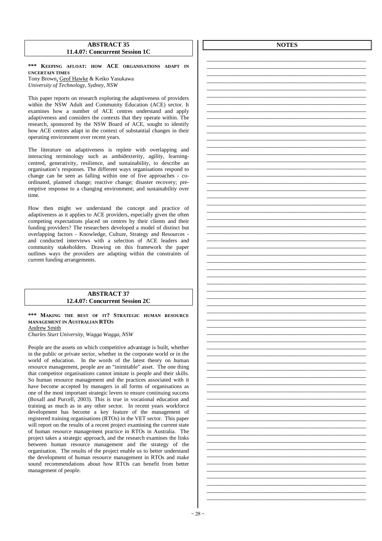### **ABSTRACT 35 11.4.07: Concurrent Session 1C**

**\*\*\* KEEPING AFLOAT: HOW ACE ORGANISATIONS ADAPT IN UNCERTAIN TIMES** Tony Brown, Geof Hawke & Keiko Yasukawa *University of Technology, Sydney, NSW* 

This paper reports on research exploring the adaptiveness of providers within the NSW Adult and Community Education (ACE) sector. It examines how a number of ACE centres understand and apply adaptiveness and considers the contexts that they operate within. The research, sponsored by the NSW Board of ACE, sought to identify how ACE centres adapt in the context of substantial changes in their operating environment over recent years.

The literature on adaptiveness is replete with overlapping and interacting terminology such as ambidexterity, agility, learningcentred, generativity, resilience, and sustainability, to describe an organisation's responses. The different ways organisations respond to change can be seen as falling within one of five approaches - coordinated, planned change; reactive change; disaster recovery; preemptive response to a changing environment; and sustainability over time.

How then might we understand the concept and practice of adaptiveness as it applies to ACE providers, especially given the often competing expectations placed on centres by their clients and their funding providers? The researchers developed a model of distinct but overlapping factors - Knowledge, Culture, Strategy and Resources and conducted interviews with a selection of ACE leaders and community stakeholders. Drawing on this framework the paper outlines ways the providers are adapting within the constraints of current funding arrangements.

### **ABSTRACT 37 12.4.07: Concurrent Session 2C**

### **\*\*\* MAKING THE BEST OF IT? STRATEGIC HUMAN RESOURCE MANAGEMENT IN AUSTRALIAN RTOS** Andrew Smith

*Charles Sturt University, Wagga Wagga, NSW* 

People are the assets on which competitive advantage is built, whether in the public or private sector, whether in the corporate world or in the world of education. In the words of the latest theory on human resource management, people are an "inimitable" asset. The one thing that competitor organisations cannot imitate is people and their skills. So human resource management and the practices associated with it have become accepted by managers in all forms of organisations as one of the most important strategic levers to ensure continuing success (Boxall and Purcell, 2003). This is true in vocational education and training as much as in any other sector. In recent years workforce development has become a key feature of the management of registered training organisations (RTOs) in the VET sector. This paper will report on the results of a recent project examining the current state of human resource management practice in RTOs in Australia. The project takes a strategic approach, and the research examines the links between human resource management and the strategy of the organisation. The results of the project enable us to better understand the development of human resource management in RTOs and make sound recommendations about how RTOs can benefit from better management of people.

**NOTES**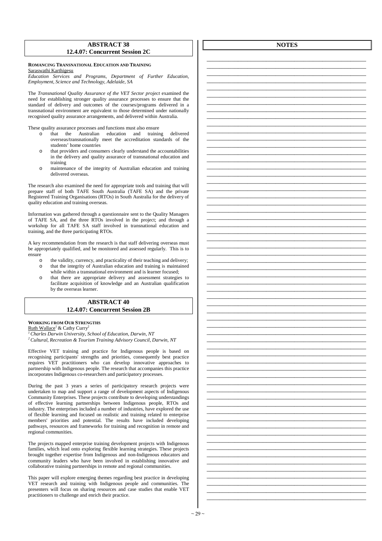### **ABSTRACT 38 12.4.07: Concurrent Session 2C**

### **ROMANCING TRANSNATIONAL EDUCATION AND TRAINING** Saraswathi Karthigesu

*Education Services and Programs, Department of Further Education, Employment, Science and Technology, Adelaide, SA* 

The *Transnational Quality Assurance of the VET Sector project* examined the need for establishing stronger quality assurance processes to ensure that the standard of delivery and outcomes of the courses/programs delivered in a transnational environment are equivalent to those determined under nationally recognised quality assurance arrangements, and delivered within Australia.

These quality assurance processes and functions must also ensure

- o that the Australian education and training delivered overseas/transnationally meet the accreditation standards of the students' home countries
- that providers and consumers clearly understand the accountabilities in the delivery and quality assurance of transnational education and training
- o maintenance of the integrity of Australian education and training delivered overseas.

The research also examined the need for appropriate tools and training that will prepare staff of both TAFE South Australia (TAFE SA) and the private Registered Training Organisations (RTOs) in South Australia for the delivery of quality education and training overseas.

Information was gathered through a questionnaire sent to the Quality Managers of TAFE SA, and the three RTOs involved in the project; and through a workshop for all TAFE SA staff involved in transnational education and training, and the three participating RTOs.

A key recommendation from the research is that staff delivering overseas must be appropriately qualified, and be monitored and assessed regularly. This is to ensure

- o the validity, currency, and practicality of their teaching and delivery; o that the integrity of Australian education and training is maintained while within a transnational environment and is learner focused;
- o that there are appropriate delivery and assessment strategies to facilitate acquisition of knowledge and an Australian qualification

### **ABSTRACT 40 12.4.07: Concurrent Session 2B**

### **WORKING FROM OUR STRENGTHS**

by the overseas learner.

Ruth Wallace<sup>1</sup> & Cathy Curry<sup>2</sup>

*<sup>1</sup>Charles Darwin University, School of Education, Darwin, NT <sup>2</sup>Cultural, Recreation & Tourism Training Advisory Council, Darwin, NT* 

Effective VET training and practice for Indigenous people is based on recognising participants' strengths and priorities, consequently best practice requires VET practitioners who can develop innovative approaches to partnership with Indigenous people. The research that accompanies this practice incorporates Indigenous co-researchers and participatory processes.

During the past 3 years a series of participatory research projects were undertaken to map and support a range of development aspects of Indigenous Community Enterprises. These projects contribute to developing understandings of effective learning partnerships between Indigenous people, RTOs and industry. The enterprises included a number of industries, have explored the use of flexible learning and focused on realistic and training related to enterprise members' priorities and potential. The results have included developing pathways, resources and frameworks for training and recognition in remote and regional communities.

The projects mapped enterprise training development projects with Indigenous families, which lead onto exploring flexible learning strategies. These projects brought together expertise from Indigenous and non-Indigenous educators and community leaders who have been involved in establishing innovative and collaborative training partnerships in remote and regional communities.

This paper will explore emerging themes regarding best practice in developing VET research and training with Indigenous people and communities. The presenters will focus on sharing resources and case studies that enable VET practitioners to challenge and enrich their practice.

**NOTES**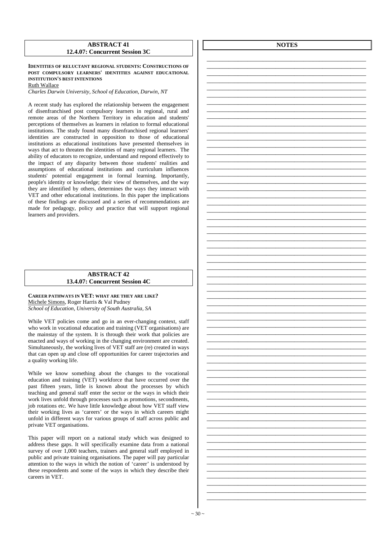### **ABSTRACT 41 12.4.07: Concurrent Session 3C**

**IDENTITIES OF RELUCTANT REGIONAL STUDENTS: CONSTRUCTIONS OF POST COMPULSORY LEARNERS' IDENTITIES AGAINST EDUCATIONAL INSTITUTION'S BEST INTENTIONS** Ruth Wallace

*Charles Darwin University, School of Education, Darwin, NT* 

A recent study has explored the relationship between the engagement of disenfranchised post compulsory learners in regional, rural and remote areas of the Northern Territory in education and students' perceptions of themselves as learners in relation to formal educational institutions. The study found many disenfranchised regional learners' identities are constructed in opposition to those of educational institutions as educational institutions have presented themselves in ways that act to threaten the identities of many regional learners. The ability of educators to recognize, understand and respond effectively to the impact of any disparity between those students' realities and assumptions of educational institutions and curriculum influences students' potential engagement in formal learning. Importantly, people's identity or knowledge; their view of themselves, and the way they are identified by others, determines the ways they interact with VET and other educational institutions. In this paper the implications of these findings are discussed and a series of recommendations are made for pedagogy, policy and practice that will support regional learners and providers.

### **ABSTRACT 42 13.4.07: Concurrent Session 4C**

**CAREER PATHWAYS IN VET: WHAT ARE THEY ARE LIKE?**  Michele Simons, Roger Harris & Val Pudney *School of Education, University of South Australia, SA* 

While VET policies come and go in an ever-changing context, staff who work in vocational education and training (VET organisations) are the mainstay of the system. It is through their work that policies are enacted and ways of working in the changing environment are created. Simultaneously, the working lives of VET staff are (re) created in ways that can open up and close off opportunities for career trajectories and a quality working life.

While we know something about the changes to the vocational education and training (VET) workforce that have occurred over the past fifteen years, little is known about the processes by which teaching and general staff enter the sector or the ways in which their work lives unfold through processes such as promotions, secondments, job rotations etc. We have little knowledge about how VET staff view their working lives as 'careers' or the ways in which careers might unfold in different ways for various groups of staff across public and private VET organisations.

This paper will report on a national study which was designed to address these gaps. It will specifically examine data from a national survey of over 1,000 teachers, trainers and general staff employed in public and private training organisations. The paper will pay particular attention to the ways in which the notion of 'career' is understood by these respondents and some of the ways in which they describe their careers in VET.

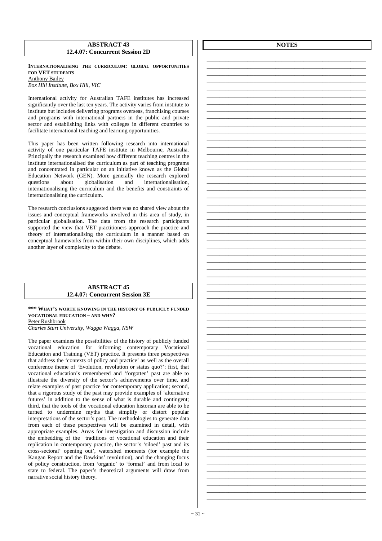### **ABSTRACT 43 12.4.07: Concurrent Session 2D**

**INTERNATIONALISING THE CURRICULUM: GLOBAL OPPORTUNITIES FOR VET STUDENTS** Anthony Bailey

*Box Hill Institute, Box Hill, VIC* 

International activity for Australian TAFE institutes has increased significantly over the last ten years. The activity varies from institute to institute but includes delivering programs overseas, franchising courses and programs with international partners in the public and private sector and establishing links with colleges in different countries to facilitate international teaching and learning opportunities.

This paper has been written following research into international activity of one particular TAFE institute in Melbourne, Australia. Principally the research examined how different teaching centres in the institute internationalised the curriculum as part of teaching programs and concentrated in particular on an initiative known as the Global Education Network (GEN). More generally the research explored questions about globalisation and internationalisation, internationalising the curriculum and the benefits and constraints of internationalising the curriculum.

The research conclusions suggested there was no shared view about the issues and conceptual frameworks involved in this area of study, in particular globalisation. The data from the research participants supported the view that VET practitioners approach the practice and theory of internationalising the curriculum in a manner based on conceptual frameworks from within their own disciplines, which adds another layer of complexity to the debate.

### **ABSTRACT 45 12.4.07: Concurrent Session 3E**

**\*\*\* WHAT'S WORTH KNOWING IN THE HISTORY OF PUBLICLY FUNDED VOCATIONAL EDUCATION – AND WHY?**  Peter Rushbrook

*Charles Sturt University, Wagga Wagga, NSW* 

The paper examines the possibilities of the history of publicly funded vocational education for informing contemporary Vocational Education and Training (VET) practice. It presents three perspectives that address the 'contexts of policy and practice' as well as the overall conference theme of 'Evolution, revolution or status quo?': first, that vocational education's remembered and 'forgotten' past are able to illustrate the diversity of the sector's achievements over time, and relate examples of past practice for contemporary application; second, that a rigorous study of the past may provide examples of 'alternative futures' in addition to the sense of what is durable and contingent; third, that the tools of the vocational education historian are able to be turned to undermine myths that simplify or distort popular interpretations of the sector's past. The methodologies to generate data from each of these perspectives will be examined in detail, with appropriate examples. Areas for investigation and discussion include the embedding of the traditions of vocational education and their replication in contemporary practice, the sector's 'siloed' past and its cross-sectoral' opening out', watershed moments (for example the Kangan Report and the Dawkins' revolution), and the changing focus of policy construction, from 'organic' to 'formal' and from local to state to federal. The paper's theoretical arguments will draw from narrative social history theory.

**NOTES** 

\_\_\_\_\_\_\_\_\_\_\_\_\_\_\_\_\_\_\_\_\_\_\_\_\_\_\_\_\_\_\_\_\_\_\_\_\_\_\_\_\_\_\_\_\_\_\_\_\_\_\_ \_\_\_\_\_\_\_\_\_\_\_\_\_\_\_\_\_\_\_\_\_\_\_\_\_\_\_\_\_\_\_\_\_\_\_\_\_\_\_\_\_\_\_\_\_\_\_\_\_\_\_ \_\_\_\_\_\_\_\_\_\_\_\_\_\_\_\_\_\_\_\_\_\_\_\_\_\_\_\_\_\_\_\_\_\_\_\_\_\_\_\_\_\_\_\_\_\_\_\_\_\_\_ \_\_\_\_\_\_\_\_\_\_\_\_\_\_\_\_\_\_\_\_\_\_\_\_\_\_\_\_\_\_\_\_\_\_\_\_\_\_\_\_\_\_\_\_\_\_\_\_\_\_\_ \_\_\_\_\_\_\_\_\_\_\_\_\_\_\_\_\_\_\_\_\_\_\_\_\_\_\_\_\_\_\_\_\_\_\_\_\_\_\_\_\_\_\_\_\_\_\_\_\_\_\_

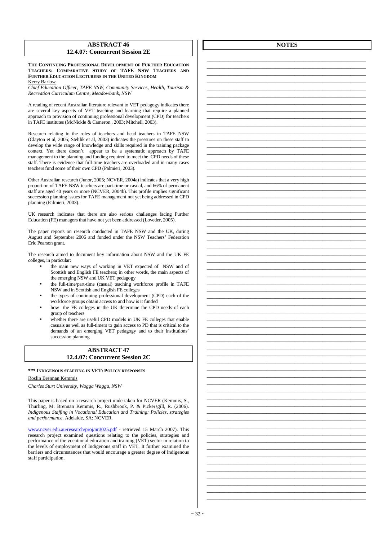### **ABSTRACT 46 12.4.07: Concurrent Session 2E**

**THE CONTINUING PROFESSIONAL DEVELOPMENT OF FURTHER EDUCATION TEACHERS: COMPARATIVE STUDY OF TAFE NSW TEACHERS AND FURTHER EDUCATION LECTURERS IN THE UNITED KINGDOM** Kerry Barlow

*Chief Education Officer, TAFE NSW, Community Services, Health, Tourism & Recreation Curriculum Centre, Meadowbank, NSW* 

A reading of recent Australian literature relevant to VET pedagogy indicates there are several key aspects of VET teaching and learning that require a planned approach to provision of continuing professional development (CPD) for teachers in TAFE institutes (McNickle & Cameron , 2003; Mitchell, 2003).

Research relating to the roles of teachers and head teachers in TAFE NSW (Clayton et al, 2005; Stehlik et al, 2003) indicates the pressures on these staff to develop the wide range of knowledge and skills required in the training package context. Yet there doesn't appear to be a systematic approach by TAFE management to the planning and funding required to meet the CPD needs of these staff. There is evidence that full-time teachers are overloaded and in many cases teachers fund some of their own CPD (Palmieri, 2003).

Other Australian research (Junor, 2005; NCVER, 2004a) indicates that a very high proportion of TAFE NSW teachers are part-time or casual, and 66% of permanent staff are aged 40 years or more (NCVER, 2004b). This profile implies significant succession planning issues for TAFE management not yet being addressed in CPD planning (Palmieri, 2003).

UK research indicates that there are also serious challenges facing Further Education (FE) managers that have not yet been addressed (Loveder, 2005).

The paper reports on research conducted in TAFE NSW and the UK, during August and September 2006 and funded under the NSW Teachers' Federation Eric Pearson grant.

The research aimed to document key information about NSW and the UK FE colleges, in particular:

- the main new ways of working in VET expected of NSW and of Scottish and English FE teachers; in other words, the main aspects of the emerging NSW and UK VET pedagogy
- the full-time/part-time (casual) teaching workforce profile in TAFE NSW and in Scottish and English FE colleges
- the types of continuing professional development (CPD) each of the workforce groups obtain access to and how is it funded
- how the FE colleges in the UK determine the CPD needs of each group of teachers
- whether there are useful CPD models in UK FE colleges that enable casuals as well as full-timers to gain access to PD that is critical to the demands of an emerging VET pedagogy and to their institutions' succession planning

### **ABSTRACT 47 12.4.07: Concurrent Session 2C**

**\*\*\* INDIGENOUS STAFFING IN VET: POLICY RESPONSES**

### Roslin Brennan Kemmis

*Charles Sturt University, Wagga Wagga, NSW* 

This paper is based on a research project undertaken for NCVER (Kemmis, S., Thurling, M. Brennan Kemmis, R., Rushbrook, P. & Pickersgill, R. (2006). *Indigenous Staffing in Vocational Education and Training: Policies, strategies and performance*. Adelaide, SA: NCVER.

www.ncver.edu.au/research/proj/nr3025.pdf - retrieved 15 March 2007). This research project examined questions relating to the policies, strategies and performance of the vocational education and training (VET) sector in relation to the levels of employment of Indigenous staff in VET. It further examined the barriers and circumstances that would encourage a greater degree of Indigenous staff participation.

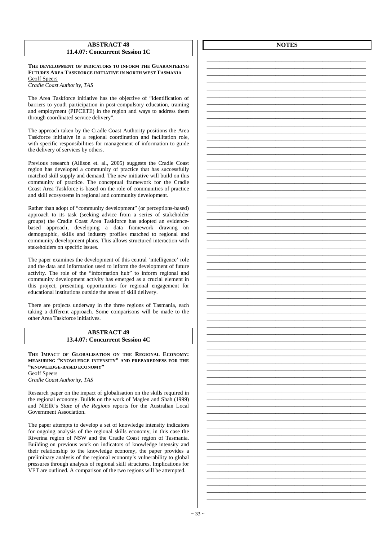### **ABSTRACT 48 11.4.07: Concurrent Session 1C**

**THE DEVELOPMENT OF INDICATORS TO INFORM THE GUARANTEEING FUTURES AREA TASKFORCE INITIATIVE IN NORTH WEST TASMANIA** Geoff Speers

*Cradle Coast Authority, TAS* 

The Area Taskforce initiative has the objective of "identification of barriers to youth participation in post-compulsory education, training and employment (PIPCETE) in the region and ways to address them through coordinated service delivery".

The approach taken by the Cradle Coast Authority positions the Area Taskforce initiative in a regional coordination and facilitation role, with specific responsibilities for management of information to guide the delivery of services by others.

Previous research (Allison et. al., 2005) suggests the Cradle Coast region has developed a community of practice that has successfully matched skill supply and demand. The new initiative will build on this community of practice. The conceptual framework for the Cradle Coast Area Taskforce is based on the role of communities of practice and skill ecosystems in regional and community development.

Rather than adopt of "community development" (or perceptions-based) approach to its task (seeking advice from a series of stakeholder groups) the Cradle Coast Area Taskforce has adopted an evidencebased approach, developing a data framework drawing on demographic, skills and industry profiles matched to regional and community development plans. This allows structured interaction with stakeholders on specific issues.

The paper examines the development of this central 'intelligence' role and the data and information used to inform the development of future activity. The role of the "information hub" to inform regional and community development activity has emerged as a crucial element in this project, presenting opportunities for regional engagement for educational institutions outside the areas of skill delivery.

There are projects underway in the three regions of Tasmania, each taking a different approach. Some comparisons will be made to the other Area Taskforce initiatives.

### **ABSTRACT 49 13.4.07: Concurrent Session 4C**

**THE IMPACT OF GLOBALISATION ON THE REGIONAL ECONOMY: MEASURING "KNOWLEDGE INTENSITY" AND PREPAREDNESS FOR THE "KNOWLEDGE-BASED ECONOMY"**  Geoff Speers *Cradle Coast Authority, TAS* 

Research paper on the impact of globalisation on the skills required in

the regional economy. Builds on the work of Maglen and Shah (1999) and NIEIR's *State of the Regions* reports for the Australian Local Government Association.

The paper attempts to develop a set of knowledge intensity indicators for ongoing analysis of the regional skills economy, in this case the Riverina region of NSW and the Cradle Coast region of Tasmania. Building on previous work on indicators of knowledge intensity and their relationship to the knowledge economy, the paper provides a preliminary analysis of the regional economy's vulnerability to global pressures through analysis of regional skill structures. Implications for VET are outlined. A comparison of the two regions will be attempted.

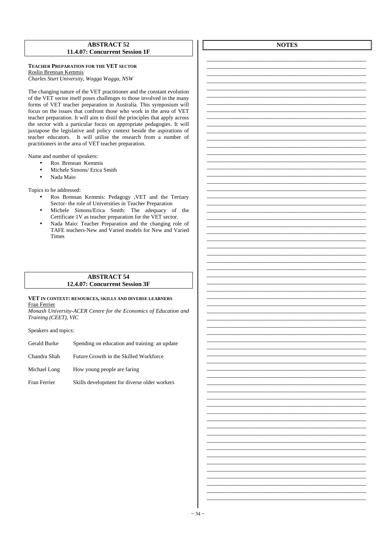### **ABSTRACT 52** 11.4.07: Concurrent Session 1F

TEACHER PREPARATION FOR THE VET SECTOR Roslin Brennan Kemmis

Charles Sturt University, Wagga Wagga, NSW

The changing nature of the VET practitioner and the constant evolution of the VET sector itself poses challenges to those involved in the many forms of VET teacher preparation in Australia. This symposium will focus on the issues that confront those who work in the area of VET teacher preparation. It will aim to distil the principles that apply across the sector with a particular focus on appropriate pedagogies. It will juxtapose the legislative and policy context beside the aspirations of teacher educators. It will utilise the research from a number of practitioners in the area of VET teacher preparation.

Name and number of speakers:

- Ros Brennan Kemmis  $\bullet$
- Michele Simons/ Erica Smith
- Nada Maio  $\bullet$

Topics to be addressed:

- Ros Brennan Kemmis: Pedagogy , VET and the Tertiary Sector- the role of Universities in Teacher Preparation
- Michele Simons/Erica Smith: The adequacy of the Certificate 1V as teacher preparation for the VET sector.
- Nada Maio: Teacher Preparation and the changing role of TAFE teachers-New and Varied models for New and Varied **Times**

### **ABSTRACT 54** 12.4.07: Concurrent Session 3F

### VET IN CONTEXT: RESOURCES, SKILLS AND DIVERSE LEARNERS Fran Ferrier

Monash University-ACER Centre for the Economics of Education and Training (CEET), VIC

Speakers and topics:

| Gerald Burke | Spending on education and training: an update |
|--------------|-----------------------------------------------|
| Chandra Shah | Future Growth in the Skilled Workforce        |

Michael Long How young people are faring

Fran Ferrier Skills development for diverse older workers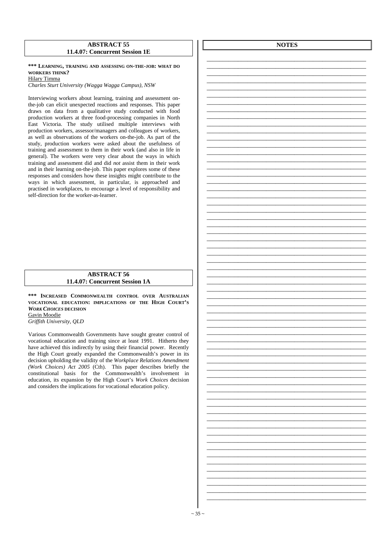### **ABSTRACT 55 11.4.07: Concurrent Session 1E**

### **\*\*\* LEARNING, TRAINING AND ASSESSING ON-THE-JOB: WHAT DO WORKERS THINK?**

Hilary Timma

*Charles Sturt University (Wagga Wagga Campus), NSW* 

Interviewing workers about learning, training and assessment onthe-job can elicit unexpected reactions and responses. This paper draws on data from a qualitative study conducted with food production workers at three food-processing companies in North East Victoria. The study utilised multiple interviews with production workers, assessor/managers and colleagues of workers, as well as observations of the workers on-the-job. As part of the study, production workers were asked about the usefulness of training and assessment to them in their work (and also in life in general). The workers were very clear about the ways in which training and assessment did and did *not* assist them in their work and in their learning on-the-job. This paper explores some of these responses and considers how these insights might contribute to the ways in which assessment, in particular, is approached and practised in workplaces, to encourage a level of responsibility and self-direction for the worker-as-learner.

### **ABSTRACT 56 11.4.07: Concurrent Session 1A**

**\*\*\* INCREASED COMMONWEALTH CONTROL OVER AUSTRALIAN VOCATIONAL EDUCATION: IMPLICATIONS OF THE HIGH COURT'S**  *WORK CHOICES* **DECISION** Gavin Moodie *Griffith University, QLD* 

Various Commonwealth Governments have sought greater control of vocational education and training since at least 1991. Hitherto they have achieved this indirectly by using their financial power. Recently the High Court greatly expanded the Commonwealth's power in its decision upholding the validity of the *Workplace Relations Amendment (Work Choices) Act 2005* (Cth). This paper describes briefly the constitutional basis for the Commonwealth's involvement in education, its expansion by the High Court's *Work Choices* decision and considers the implications for vocational education policy.

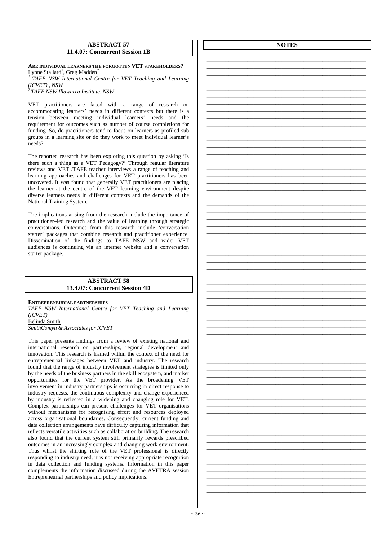### **ABSTRACT 57 11.4.07: Concurrent Session 1B**

**ARE INDIVIDUAL LEARNERS THE FORGOTTEN VET STAKEHOLDERS?** Lynne Stallard<sup>1</sup>, Greg Madden<sup>2</sup>

*<sup>1</sup>TAFE NSW International Centre for VET Teaching and Learning (ICVET) , NSW* 

*<sup>2</sup>TAFE NSW Illawarra Institute, NSW* 

VET practitioners are faced with a range of research on accommodating learners' needs in different contexts but there is a tension between meeting individual learners' needs and the requirement for outcomes such as number of course completions for funding. So, do practitioners tend to focus on learners as profiled sub groups in a learning site or do they work to meet individual learner's needs?

The reported research has been exploring this question by asking 'Is there such a thing as a VET Pedagogy?' Through regular literature reviews and VET /TAFE teacher interviews a range of teaching and learning approaches and challenges for VET practitioners has been uncovered. It was found that generally VET practitioners are placing the learner at the centre of the VET learning environment despite diverse learners needs in different contexts and the demands of the National Training System.

The implications arising from the research include the importance of practitioner–led research and the value of learning through strategic conversations. Outcomes from this research include 'conversation starter' packages that combine research and practitioner experience. Dissemination of the findings to TAFE NSW and wider VET audiences is continuing via an internet website and a conversation starter package.

### **ABSTRACT 58 13.4.07: Concurrent Session 4D**

### **ENTREPRENEURIAL PARTNERSHIPS**

*TAFE NSW International Centre for VET Teaching and Learning (ICVET)*  Belinda Smith

*SmithComyn & Associates for ICVET* 

This paper presents findings from a review of existing national and international research on partnerships, regional development and innovation. This research is framed within the context of the need for entrepreneurial linkages between VET and industry. The research found that the range of industry involvement strategies is limited only by the needs of the business partners in the skill ecosystem, and market opportunities for the VET provider. As the broadening VET involvement in industry partnerships is occurring in direct response to industry requests, the continuous complexity and change experienced by industry is reflected in a widening and changing role for VET. Complex partnerships can present challenges for VET organisations without mechanisms for recognising effort and resources deployed across organisational boundaries. Consequently, current funding and data collection arrangements have difficulty capturing information that reflects versatile activities such as collaboration building. The research also found that the current system still primarily rewards prescribed outcomes in an increasingly complex and changing work environment. Thus whilst the shifting role of the VET professional is directly responding to industry need, it is not receiving appropriate recognition in data collection and funding systems. Information in this paper complements the information discussed during the AVETRA session Entrepreneurial partnerships and policy implications.

**NOTES**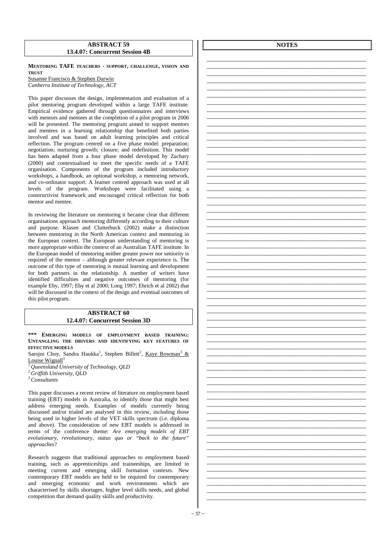### **ABSTRACT 59 13.4.07: Concurrent Session 4B**

**MENTORING TAFE TEACHERS - SUPPORT, CHALLENGE, VISION AND TRUST**

Susanne Francisco & Stephen Darwin *Canberra Institute of Technology, ACT* 

This paper discusses the design, implementation and evaluation of a pilot mentoring program developed within a large TAFE institute. Empirical evidence gathered through questionnaires and interviews with mentors and mentees at the completion of a pilot program in 2006 will be presented. The mentoring program aimed to support mentors and mentees in a learning relationship that benefited both parties involved and was based on adult learning principles and critical reflection. The program centred on a five phase model: preparation; negotiation; nurturing growth; closure; and redefinition. This model has been adapted from a four phase model developed by Zachary (2000) and contextualised to meet the specific needs of a TAFE organisation. Components of the program included introductory workshops, a handbook, an optional workshop, a mentoring network, and co-ordinator support. A learner centred approach was used at all levels of the program. Workshops were facilitated using a constructivist framework and encouraged critical reflection for both mentor and mentee.

In reviewing the literature on mentoring it became clear that different organisations approach mentoring differently according to their culture and purpose. Klasen and Clutterbuck (2002) make a distinction between mentoring in the North American context and mentoring in the European context. The European understanding of mentoring is more appropriate within the context of an Australian TAFE institute. In the European model of mentoring neither greater power nor seniority is required of the mentor – although greater relevant experience is. The outcome of this type of mentoring is mutual learning and development for both partners in the relationship. A number of writers have identified difficulties and negative outcomes of mentoring (for example Eby, 1997; Eby et al 2000; Long 1997; Ehrich et al 2002) that will be discussed in the context of the design and eventual outcomes of this pilot program.

### **ABSTRACT 60 12.4.07: Concurrent Session 3D**

**\*\*\* EMERGING MODELS OF EMPLOYMENT BASED TRAINING: UNTANGLING THE DRIVERS AND IDENTIFYING KEY FEATURES OF EFFECTIVE MODELS**

Sarojni Choy, Sandra Haukka<sup>1</sup>, Stephen Billett<sup>2</sup>, Kaye Bowman<sup>3</sup> & Louise Wignall $3$ 

- *<sup>1</sup>Queensland University of Technology, QLD*
- *<sup>2</sup>Griffith University, QLD*
- *<sup>3</sup>Consultants*

This paper discusses a recent review of literature on employment based training (EBT) models in Australia, to identify those that might best address emerging needs. Examples of models currently being discussed and/or trialed are analysed in this review, including those being used in higher levels of the VET skills spectrum (i.e. diploma and above). The consideration of new EBT models is addressed in terms of the conference theme: *Are emerging models of EBT evolutionary, revolutionary, status quo or "back to the future" approaches*?

Research suggests that traditional approaches to employment based training, such as apprenticeships and traineeships, are limited in meeting current and emerging skill formation contexts. New contemporary EBT models are held to be required for contemporary and emerging economic and work environments which are characterised by skills shortages, higher level skills needs, and global competition that demand quality skills and productivity.

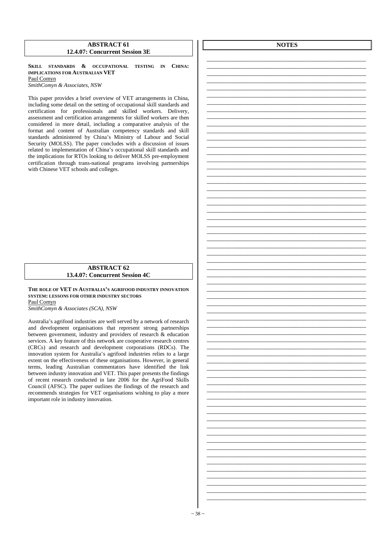### **ABSTRACT 61 12.4.07: Concurrent Session 3E**

**SKILL STANDARDS & OCCUPATIONAL TESTING IN CHINA: IMPLICATIONS FOR AUSTRALIAN VET**  Paul Comyn

*SmithComyn & Associates, NSW* 

This paper provides a brief overview of VET arrangements in China, including some detail on the setting of occupational skill standards and certification for professionals and skilled workers. Delivery, assessment and certification arrangements for skilled workers are then considered in more detail, including a comparative analysis of the format and content of Australian competency standards and skill standards administered by China's Ministry of Labour and Social Security (MOLSS). The paper concludes with a discussion of issues related to implementation of China's occupational skill standards and the implications for RTOs looking to deliver MOLSS pre-employment certification through trans-national programs involving partnerships with Chinese VET schools and colleges.

### **ABSTRACT 62 13.4.07: Concurrent Session 4C**

**THE ROLE OF VET IN AUSTRALIA'S AGRIFOOD INDUSTRY INNOVATION SYSTEM: LESSONS FOR OTHER INDUSTRY SECTORS** Paul Comyn

*SmithComyn & Associates (SCA), NSW* 

Australia's agrifood industries are well served by a network of research and development organisations that represent strong partnerships between government, industry and providers of research & education services. A key feature of this network are cooperative research centres (CRCs) and research and development corporations (RDCs). The innovation system for Australia's agrifood industries relies to a large extent on the effectiveness of these organisations. However, in general terms, leading Australian commentators have identified the link between industry innovation and VET. This paper presents the findings of recent research conducted in late 2006 for the AgriFood Skills Council (AFSC). The paper outlines the findings of the research and recommends strategies for VET organisations wishing to play a more important role in industry innovation.

**NOTES**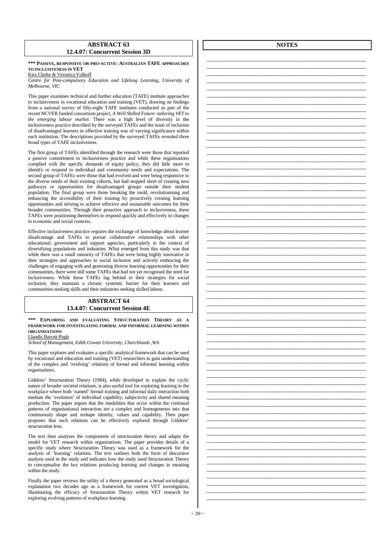### **ABSTRACT 63 12.4.07: Concurrent Session 3D**

### **\*\*\* PASSIVE, RESPONSIVE OR PRO-ACTIVE: AUSTRALIAN TAFE APPROACHES TO INCLUSIVENESS IN VET**

Kira Clarke & Veronica Volkoff

*Centre for Post-compulsory Education and Lifelong Learning, University of Melbourne, VIC* 

This paper examines technical and further education (TAFE) institute approaches to inclusiveness in vocational education and training (VET), drawing on findings from a national survey of fifty-eight TAFE institutes conducted as part of the recent NCVER funded consortium project, *A Well Skilled Future: tailoring VET to the emerging labour market*. There was a high level of diversity in the inclusiveness practice described by the surveyed TAFEs and the issue of inclusion of disadvantaged learners in effective training was of varying significance within each institution. The descriptions provided by the surveyed TAFEs revealed three broad types of TAFE inclusiveness.

The first group of TAFEs identified through the research were those that reported a passive commitment to inclusiveness practice and while these organisations complied with the specific demands of equity policy, they did little more to identify or respond to individual and community needs and expectations. The second group of TAFEs were those that had evolved and were being responsive to the diverse needs of their existing cohorts, but had stopped short of creating new pathways or opportunities for disadvantaged groups outside their student population. The final group were those breaking the mold, revolutionising and enhancing the accessibility of their training by proactively creating learning opportunities and striving to achieve effective and sustainable outcomes for their broader communities. Through their proactive approach to inclusiveness, these TAFEs were positioning themselves to respond quickly and effectively to changes in economic and social contexts.

Effective inclusiveness practice requires the exchange of knowledge about learner disadvantage and TAFEs to pursue collaborative relationships with other educational, government and support agencies, particularly in the context of diversifying populations and industries. What emerged from this study was that while there was a small minority of TAFEs that were being highly innovative in their strategies and approaches to social inclusion and actively embracing the challenges of engaging with and generating diverse learning opportunities for their communities, there were still some TAFEs that had not yet recognised the need for inclusiveness. While these TAFEs lag behind in their strategies for social inclusion, they maintain a chronic systemic barrier for their learners and communities seeking skills and their industries seeking skilled labour.

### **ABSTRACT 64 13.4.07: Concurrent Session 4E**

### **\*\*\* EXPLORING AND EVALUATING STRUCTURATION THEORY AS A FRAMEWORK FOR INVESTIGATING FORMAL AND INFORMAL LEARNING WITHIN ORGANISATIONS**

Llandis Barratt-Pugh

*School of Management, Edith Cowan University, Churchlands ,WA*

This paper explores and evaluates a specific analytical framework that can be used by vocational and education and training (VET) researchers to gain understanding of the complex and 'evolving' relations of formal and informal learning within organisations.

Giddens' Structuration Theory (1984), while developed to explain the cyclic nature of broader societal relations, is also useful tool for exploring learning in the workplace where both 'named' formal training and informal daily interaction both mediate the 'evolution' of individual capability, subjectivity and shared meaning production. The paper argues that the modalities that occur within the continual patterns of organisational interaction are a complex and homogeneous mix that continuously shape and reshape identity, values and capability. Then paper proposes that such relations can be effectively explored through Giddens' structuration lens.

The text then analyses the components of structuration theory and adapts the model for VET research within organisations. The paper provides details of a specific study where Structuration Theory was used as a framework for the analysis of 'learning' relations. The text outlines both the form of discursive analysis used in the study and indicates how the study used Structuration Theory to conceptualise the key relations producing learning and changes in meaning within the study.

Finally the paper reviews the utility of a theory generated as a broad sociological explanation two decades ago as a framework for current VET investigation, illuminating the efficacy of Structuration Theory within VET research for exploring evolving patterns of workplace learning.

**NOTES** 

\_\_\_\_\_\_\_\_\_\_\_\_\_\_\_\_\_\_\_\_\_\_\_\_\_\_\_\_\_\_\_\_\_\_\_\_\_\_\_\_\_\_\_\_\_\_\_\_\_\_\_ \_\_\_\_\_\_\_\_\_\_\_\_\_\_\_\_\_\_\_\_\_\_\_\_\_\_\_\_\_\_\_\_\_\_\_\_\_\_\_\_\_\_\_\_\_\_\_\_\_\_\_ \_\_\_\_\_\_\_\_\_\_\_\_\_\_\_\_\_\_\_\_\_\_\_\_\_\_\_\_\_\_\_\_\_\_\_\_\_\_\_\_\_\_\_\_\_\_\_\_\_\_\_ \_\_\_\_\_\_\_\_\_\_\_\_\_\_\_\_\_\_\_\_\_\_\_\_\_\_\_\_\_\_\_\_\_\_\_\_\_\_\_\_\_\_\_\_\_\_\_\_\_\_\_

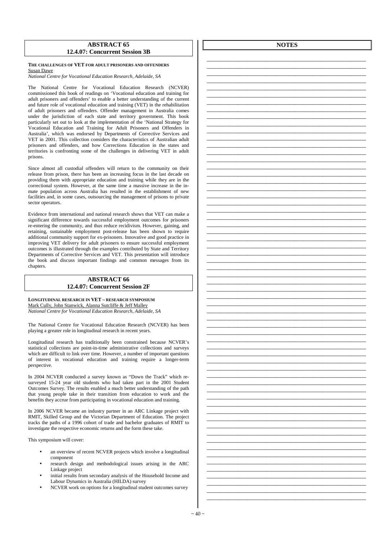### **ABSTRACT 65 12.4.07: Concurrent Session 3B**

### **THE CHALLENGES OF VET FOR ADULT PRISONERS AND OFFENDERS** Susan Dawe

*National Centre for Vocational Education Research, Adelaide, SA* 

The National Centre for Vocational Education Research (NCVER) commissioned this book of readings on 'Vocational education and training for adult prisoners and offenders' to enable a better understanding of the current and future role of vocational education and training (VET) in the rehabilitation of adult prisoners and offenders. Offender management in Australia comes under the jurisdiction of each state and territory government. This book particularly set out to look at the implementation of the 'National Strategy for Vocational Education and Training for Adult Prisoners and Offenders in Australia', which was endorsed by Departments of Corrective Services and VET in 2001. This collection considers the characteristics of Australian adult prisoners and offenders, and how Corrections Education in the states and territories is confronting some of the challenges in delivering VET in adult prisons.

Since almost all custodial offenders will return to the community on their release from prison, there has been an increasing focus in the last decade on providing them with appropriate education and training while they are in the correctional system. However, at the same time a massive increase in the inmate population across Australia has resulted in the establishment of new facilities and, in some cases, outsourcing the management of prisons to private sector operators.

Evidence from international and national research shows that VET can make a significant difference towards successful employment outcomes for prisoners re-entering the community, and thus reduce recidivism. However, gaining, and retaining, sustainable employment post-release has been shown to require additional community support for ex-prisoners. Innovative and good practice in improving VET delivery for adult prisoners to ensure successful employment outcomes is illustrated through the examples contributed by State and Territory Departments of Corrective Services and VET. This presentation will introduce the book and discuss important findings and common messages from its chapters.

### **ABSTRACT 66 12.4.07: Concurrent Session 2F**

### **LONGITUDINAL RESEARCH IN VET – RESEARCH SYMPOSIUM** Mark Cully, John Stanwick, Alanna Sutcliffe & Jeff Malley

*National Centre for Vocational Education Research, Adelaide, SA* 

The National Centre for Vocational Education Research (NCVER) has been playing a greater role in longitudinal research in recent years.

Longitudinal research has traditionally been constrained because NCVER's statistical collections are point-in-time administrative collections and surveys which are difficult to link over time. However, a number of important questions of interest in vocational education and training require a longer-term perspective.

In 2004 NCVER conducted a survey known as "Down the Track" which resurveyed 15-24 year old students who had taken part in the 2001 Student Outcomes Survey. The results enabled a much better understanding of the path that young people take in their transition from education to work and the benefits they accrue from participating in vocational education and training.

In 2006 NCVER became an industry partner in an ARC Linkage project with RMIT, Skilled Group and the Victorian Department of Education. The project tracks the paths of a 1996 cohort of trade and bachelor graduates of  $\overrightarrow{RMT}$  to investigate the respective economic returns and the form these take.

This symposium will cover:

- an overview of recent NCVER projects which involve a longitudinal component
- research design and methodological issues arising in the ARC Linkage project
- initial results from secondary analysis of the Household Income and Labour Dynamics in Australia (HILDA) survey
- NCVER work on options for a longitudinal student outcomes survey

**NOTES** 

\_\_\_\_\_\_\_\_\_\_\_\_\_\_\_\_\_\_\_\_\_\_\_\_\_\_\_\_\_\_\_\_\_\_\_\_\_\_\_\_\_\_\_\_\_\_\_\_\_\_\_ \_\_\_\_\_\_\_\_\_\_\_\_\_\_\_\_\_\_\_\_\_\_\_\_\_\_\_\_\_\_\_\_\_\_\_\_\_\_\_\_\_\_\_\_\_\_\_\_\_\_\_ \_\_\_\_\_\_\_\_\_\_\_\_\_\_\_\_\_\_\_\_\_\_\_\_\_\_\_\_\_\_\_\_\_\_\_\_\_\_\_\_\_\_\_\_\_\_\_\_\_\_\_ \_\_\_\_\_\_\_\_\_\_\_\_\_\_\_\_\_\_\_\_\_\_\_\_\_\_\_\_\_\_\_\_\_\_\_\_\_\_\_\_\_\_\_\_\_\_\_\_\_\_\_ \_\_\_\_\_\_\_\_\_\_\_\_\_\_\_\_\_\_\_\_\_\_\_\_\_\_\_\_\_\_\_\_\_\_\_\_\_\_\_\_\_\_\_\_\_\_\_\_\_\_\_

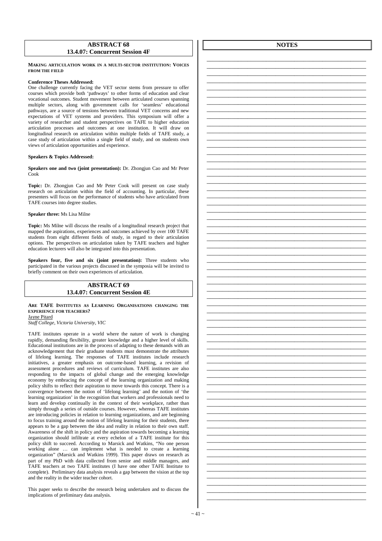### **ABSTRACT 68 13.4.07: Concurrent Session 4F**

### **MAKING ARTICULATION WORK IN A MULTI-SECTOR INSTITUTION: VOICES FROM THE FIELD**

### **Conference Theses Addressed:**

One challenge currently facing the VET sector stems from pressure to offer courses which provide both 'pathways' to other forms of education and clear vocational outcomes. Student movement between articulated courses spanning multiple sectors, along with government calls for 'seamless' educational pathways, are a source of tensions between traditional VET concerns and new expectations of VET systems and providers. This symposium will offer a variety of researcher and student perspectives on TAFE to higher education articulation processes and outcomes at one institution. It will draw on longitudinal research on articulation within multiple fields of TAFE study, a case study of articulation within a single field of study, and on students own views of articulation opportunities and experience.

### **Speakers & Topics Addressed:**

**Speakers one and two (joint presentation):** Dr. Zhongjun Cao and Mr Peter Cook

**Topic:** Dr. Zhongjun Cao and Mr Peter Cook will present on case study research on articulation within the field of accounting. In particular, these presenters will focus on the performance of students who have articulated from TAFE courses into degree studies.

**Speaker three:** Ms Lisa Milne

**Topic:** Ms Milne will discuss the results of a longitudinal research project that mapped the aspirations, experiences and outcomes achieved by over 100 TAFE students from eight different fields of study, in regard to their articulation options. The perspectives on articulation taken by TAFE teachers and higher education lecturers will also be integrated into this presentation.

**Speakers four, five and six (joint presentation):** Three students who participated in the various projects discussed in the symposia will be invited to briefly comment on their own experiences of articulation.

### **ABSTRACT 69 13.4.07: Concurrent Session 4E**

**ARE TAFE INSTITUTES AS LEARNING ORGANISATIONS CHANGING THE EXPERIENCE FOR TEACHERS?**  Jayne Pitard

*Staff College, Victoria University, VIC* 

TAFE institutes operate in a world where the nature of work is changing rapidly, demanding flexibility, greater knowledge and a higher level of skills. Educational institutions are in the process of adapting to these demands with an acknowledgement that their graduate students must demonstrate the attributes of lifelong learning. The responses of TAFE institutes include research initiatives, a greater emphasis on outcome-based learning, a revision of assessment procedures and reviews of curriculum. TAFE institutes are also responding to the impacts of global change and the emerging knowledge economy by embracing the concept of the learning organization and making policy shifts to reflect their aspiration to move towards this concept. There is a convergence between the notion of 'lifelong learning' and the notion of 'the learning organization' in the recognition that workers and professionals need to learn and develop continually in the context of their workplace, rather than simply through a series of outside courses. However, whereas TAFE institutes are introducing policies in relation to learning organizations, and are beginning to focus training around the notion of lifelong learning for their students, there appears to be a gap between the idea and reality in relation to their own staff. Awareness of the shift in policy and the aspiration towards becoming a learning organization should infiltrate at every echelon of a TAFE institute for this policy shift to succeed. According to Marsick and Watkins, "No one person working alone … can implement what is needed to create a learning organization" (Marsick and Watkins 1999). This paper draws on research as part of my PhD with data collected from senior and middle managers, and TAFE teachers at two TAFE institutes (I have one other TAFE Institute to complete). Preliminary data analysis reveals a gap between the vision at the top and the reality in the wider teacher cohort.

This paper seeks to describe the research being undertaken and to discuss the implications of preliminary data analysis.

**NOTES**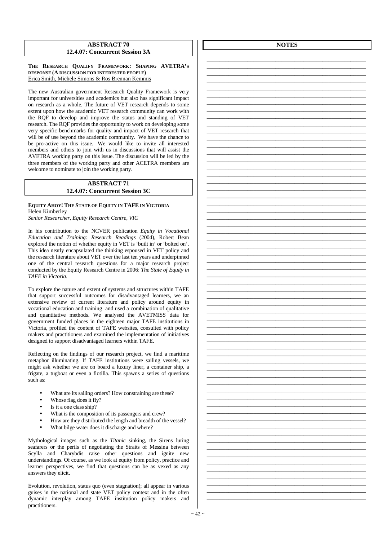### **ABSTRACT 70 12.4.07: Concurrent Session 3A**

### **THE RESEARCH QUALIFY FRAMEWORK: SHAPING AVETRA'S RESPONSE (A DISCUSSION FOR INTERESTED PEOPLE)**  Erica Smith, Michele Simons & Ros Brennan Kemmis

The new Australian government Research Quality Framework is very important for universities and academics but also has significant impact on research as a whole. The future of VET research depends to some extent upon how the academic VET research community can work with the RQF to develop and improve the status and standing of VET research. The RQF provides the opportunity to work on developing some very specific benchmarks for quality and impact of VET research that will be of use beyond the academic community. We have the chance to be pro-active on this issue. We would like to invite all interested members and others to join with us in discussions that will assist the AVETRA working party on this issue. The discussion will be led by the three members of the working party and other ACETRA members are welcome to nominate to join the working party.

### **ABSTRACT 71 12.4.07: Concurrent Session 3C**

### **EQUITY AHOY! THE STATE OF EQUITY IN TAFE IN VICTORIA**  Helen Kimberley *Senior Researcher, Equity Research Centre, VIC*

In his contribution to the NCVER publication *Equity in Vocational* 

*Education and Training: Research Readings* (2004), Robert Bean explored the notion of whether equity in VET is 'built in' or 'bolted on'. This idea neatly encapsulated the thinking espoused in VET policy and the research literature about VET over the last ten years and underpinned one of the central research questions for a major research project conducted by the Equity Research Centre in 2006: *The State of Equity in TAFE in Victoria.* 

To explore the nature and extent of systems and structures within TAFE that support successful outcomes for disadvantaged learners, we an extensive review of current literature and policy around equity in vocational education and training and used a combination of qualitative and quantitative methods. We analysed the AVETMISS data for government funded places in the eighteen major TAFE institutions in Victoria, profiled the content of TAFE websites, consulted with policy makers and practitioners and examined the implementation of initiatives designed to support disadvantaged learners within TAFE.

Reflecting on the findings of our research project, we find a maritime metaphor illuminating. If TAFE institutions were sailing vessels, we might ask whether we are on board a luxury liner, a container ship, a frigate, a tugboat or even a flotilla. This spawns a series of questions such as:

- What are its sailing orders? How constraining are these?
- Whose flag does it fly?
- Is it a one class ship?
- What is the composition of its passengers and crew?
- How are they distributed the length and breadth of the vessel?
- What bilge water does it discharge and where?

Mythological images such as the *Titanic* sinking*,* the Sirens luring seafarers or the perils of negotiating the Straits of Messina between Scylla and Charybdis raise other questions and ignite new understandings. Of course, as we look at equity from policy, practice and learner perspectives, we find that questions can be as vexed as any answers they elicit.

Evolution, revolution, status quo (even stagnation); all appear in various guises in the national and state VET policy context and in the often dynamic interplay among TAFE institution policy makers and practitioners.

**NOTES** 

\_\_\_\_\_\_\_\_\_\_\_\_\_\_\_\_\_\_\_\_\_\_\_\_\_\_\_\_\_\_\_\_\_\_\_\_\_\_\_\_\_\_\_\_\_\_\_\_\_\_\_ \_\_\_\_\_\_\_\_\_\_\_\_\_\_\_\_\_\_\_\_\_\_\_\_\_\_\_\_\_\_\_\_\_\_\_\_\_\_\_\_\_\_\_\_\_\_\_\_\_\_\_ \_\_\_\_\_\_\_\_\_\_\_\_\_\_\_\_\_\_\_\_\_\_\_\_\_\_\_\_\_\_\_\_\_\_\_\_\_\_\_\_\_\_\_\_\_\_\_\_\_\_\_ \_\_\_\_\_\_\_\_\_\_\_\_\_\_\_\_\_\_\_\_\_\_\_\_\_\_\_\_\_\_\_\_\_\_\_\_\_\_\_\_\_\_\_\_\_\_\_\_\_\_\_ \_\_\_\_\_\_\_\_\_\_\_\_\_\_\_\_\_\_\_\_\_\_\_\_\_\_\_\_\_\_\_\_\_\_\_\_\_\_\_\_\_\_\_\_\_\_\_\_\_\_\_ \_\_\_\_\_\_\_\_\_\_\_\_\_\_\_\_\_\_\_\_\_\_\_\_\_\_\_\_\_\_\_\_\_\_\_\_\_\_\_\_\_\_\_\_\_\_\_\_\_\_\_ \_\_\_\_\_\_\_\_\_\_\_\_\_\_\_\_\_\_\_\_\_\_\_\_\_\_\_\_\_\_\_\_\_\_\_\_\_\_\_\_\_\_\_\_\_\_\_\_\_\_\_ \_\_\_\_\_\_\_\_\_\_\_\_\_\_\_\_\_\_\_\_\_\_\_\_\_\_\_\_\_\_\_\_\_\_\_\_\_\_\_\_\_\_\_\_\_\_\_\_\_\_\_ \_\_\_\_\_\_\_\_\_\_\_\_\_\_\_\_\_\_\_\_\_\_\_\_\_\_\_\_\_\_\_\_\_\_\_\_\_\_\_\_\_\_\_\_\_\_\_\_\_\_\_ \_\_\_\_\_\_\_\_\_\_\_\_\_\_\_\_\_\_\_\_\_\_\_\_\_\_\_\_\_\_\_\_\_\_\_\_\_\_\_\_\_\_\_\_\_\_\_\_\_\_\_ \_\_\_\_\_\_\_\_\_\_\_\_\_\_\_\_\_\_\_\_\_\_\_\_\_\_\_\_\_\_\_\_\_\_\_\_\_\_\_\_\_\_\_\_\_\_\_\_\_\_\_ \_\_\_\_\_\_\_\_\_\_\_\_\_\_\_\_\_\_\_\_\_\_\_\_\_\_\_\_\_\_\_\_\_\_\_\_\_\_\_\_\_\_\_\_\_\_\_\_\_\_\_ \_\_\_\_\_\_\_\_\_\_\_\_\_\_\_\_\_\_\_\_\_\_\_\_\_\_\_\_\_\_\_\_\_\_\_\_\_\_\_\_\_\_\_\_\_\_\_\_\_\_\_ \_\_\_\_\_\_\_\_\_\_\_\_\_\_\_\_\_\_\_\_\_\_\_\_\_\_\_\_\_\_\_\_\_\_\_\_\_\_\_\_\_\_\_\_\_\_\_\_\_\_\_ \_\_\_\_\_\_\_\_\_\_\_\_\_\_\_\_\_\_\_\_\_\_\_\_\_\_\_\_\_\_\_\_\_\_\_\_\_\_\_\_\_\_\_\_\_\_\_\_\_\_\_ \_\_\_\_\_\_\_\_\_\_\_\_\_\_\_\_\_\_\_\_\_\_\_\_\_\_\_\_\_\_\_\_\_\_\_\_\_\_\_\_\_\_\_\_\_\_\_\_\_\_\_ \_\_\_\_\_\_\_\_\_\_\_\_\_\_\_\_\_\_\_\_\_\_\_\_\_\_\_\_\_\_\_\_\_\_\_\_\_\_\_\_\_\_\_\_\_\_\_\_\_\_\_ \_\_\_\_\_\_\_\_\_\_\_\_\_\_\_\_\_\_\_\_\_\_\_\_\_\_\_\_\_\_\_\_\_\_\_\_\_\_\_\_\_\_\_\_\_\_\_\_\_\_\_ \_\_\_\_\_\_\_\_\_\_\_\_\_\_\_\_\_\_\_\_\_\_\_\_\_\_\_\_\_\_\_\_\_\_\_\_\_\_\_\_\_\_\_\_\_\_\_\_\_\_\_ \_\_\_\_\_\_\_\_\_\_\_\_\_\_\_\_\_\_\_\_\_\_\_\_\_\_\_\_\_\_\_\_\_\_\_\_\_\_\_\_\_\_\_\_\_\_\_\_\_\_\_ \_\_\_\_\_\_\_\_\_\_\_\_\_\_\_\_\_\_\_\_\_\_\_\_\_\_\_\_\_\_\_\_\_\_\_\_\_\_\_\_\_\_\_\_\_\_\_\_\_\_\_ \_\_\_\_\_\_\_\_\_\_\_\_\_\_\_\_\_\_\_\_\_\_\_\_\_\_\_\_\_\_\_\_\_\_\_\_\_\_\_\_\_\_\_\_\_\_\_\_\_\_\_ \_\_\_\_\_\_\_\_\_\_\_\_\_\_\_\_\_\_\_\_\_\_\_\_\_\_\_\_\_\_\_\_\_\_\_\_\_\_\_\_\_\_\_\_\_\_\_\_\_\_\_ \_\_\_\_\_\_\_\_\_\_\_\_\_\_\_\_\_\_\_\_\_\_\_\_\_\_\_\_\_\_\_\_\_\_\_\_\_\_\_\_\_\_\_\_\_\_\_\_\_\_\_ \_\_\_\_\_\_\_\_\_\_\_\_\_\_\_\_\_\_\_\_\_\_\_\_\_\_\_\_\_\_\_\_\_\_\_\_\_\_\_\_\_\_\_\_\_\_\_\_\_\_\_ \_\_\_\_\_\_\_\_\_\_\_\_\_\_\_\_\_\_\_\_\_\_\_\_\_\_\_\_\_\_\_\_\_\_\_\_\_\_\_\_\_\_\_\_\_\_\_\_\_\_\_ \_\_\_\_\_\_\_\_\_\_\_\_\_\_\_\_\_\_\_\_\_\_\_\_\_\_\_\_\_\_\_\_\_\_\_\_\_\_\_\_\_\_\_\_\_\_\_\_\_\_\_ \_\_\_\_\_\_\_\_\_\_\_\_\_\_\_\_\_\_\_\_\_\_\_\_\_\_\_\_\_\_\_\_\_\_\_\_\_\_\_\_\_\_\_\_\_\_\_\_\_\_\_ \_\_\_\_\_\_\_\_\_\_\_\_\_\_\_\_\_\_\_\_\_\_\_\_\_\_\_\_\_\_\_\_\_\_\_\_\_\_\_\_\_\_\_\_\_\_\_\_\_\_\_ \_\_\_\_\_\_\_\_\_\_\_\_\_\_\_\_\_\_\_\_\_\_\_\_\_\_\_\_\_\_\_\_\_\_\_\_\_\_\_\_\_\_\_\_\_\_\_\_\_\_\_ \_\_\_\_\_\_\_\_\_\_\_\_\_\_\_\_\_\_\_\_\_\_\_\_\_\_\_\_\_\_\_\_\_\_\_\_\_\_\_\_\_\_\_\_\_\_\_\_\_\_\_ \_\_\_\_\_\_\_\_\_\_\_\_\_\_\_\_\_\_\_\_\_\_\_\_\_\_\_\_\_\_\_\_\_\_\_\_\_\_\_\_\_\_\_\_\_\_\_\_\_\_\_ \_\_\_\_\_\_\_\_\_\_\_\_\_\_\_\_\_\_\_\_\_\_\_\_\_\_\_\_\_\_\_\_\_\_\_\_\_\_\_\_\_\_\_\_\_\_\_\_\_\_\_ \_\_\_\_\_\_\_\_\_\_\_\_\_\_\_\_\_\_\_\_\_\_\_\_\_\_\_\_\_\_\_\_\_\_\_\_\_\_\_\_\_\_\_\_\_\_\_\_\_\_\_ \_\_\_\_\_\_\_\_\_\_\_\_\_\_\_\_\_\_\_\_\_\_\_\_\_\_\_\_\_\_\_\_\_\_\_\_\_\_\_\_\_\_\_\_\_\_\_\_\_\_\_ \_\_\_\_\_\_\_\_\_\_\_\_\_\_\_\_\_\_\_\_\_\_\_\_\_\_\_\_\_\_\_\_\_\_\_\_\_\_\_\_\_\_\_\_\_\_\_\_\_\_\_ \_\_\_\_\_\_\_\_\_\_\_\_\_\_\_\_\_\_\_\_\_\_\_\_\_\_\_\_\_\_\_\_\_\_\_\_\_\_\_\_\_\_\_\_\_\_\_\_\_\_\_ \_\_\_\_\_\_\_\_\_\_\_\_\_\_\_\_\_\_\_\_\_\_\_\_\_\_\_\_\_\_\_\_\_\_\_\_\_\_\_\_\_\_\_\_\_\_\_\_\_\_\_ \_\_\_\_\_\_\_\_\_\_\_\_\_\_\_\_\_\_\_\_\_\_\_\_\_\_\_\_\_\_\_\_\_\_\_\_\_\_\_\_\_\_\_\_\_\_\_\_\_\_\_ \_\_\_\_\_\_\_\_\_\_\_\_\_\_\_\_\_\_\_\_\_\_\_\_\_\_\_\_\_\_\_\_\_\_\_\_\_\_\_\_\_\_\_\_\_\_\_\_\_\_\_ \_\_\_\_\_\_\_\_\_\_\_\_\_\_\_\_\_\_\_\_\_\_\_\_\_\_\_\_\_\_\_\_\_\_\_\_\_\_\_\_\_\_\_\_\_\_\_\_\_\_\_ \_\_\_\_\_\_\_\_\_\_\_\_\_\_\_\_\_\_\_\_\_\_\_\_\_\_\_\_\_\_\_\_\_\_\_\_\_\_\_\_\_\_\_\_\_\_\_\_\_\_\_ \_\_\_\_\_\_\_\_\_\_\_\_\_\_\_\_\_\_\_\_\_\_\_\_\_\_\_\_\_\_\_\_\_\_\_\_\_\_\_\_\_\_\_\_\_\_\_\_\_\_\_ \_\_\_\_\_\_\_\_\_\_\_\_\_\_\_\_\_\_\_\_\_\_\_\_\_\_\_\_\_\_\_\_\_\_\_\_\_\_\_\_\_\_\_\_\_\_\_\_\_\_\_ \_\_\_\_\_\_\_\_\_\_\_\_\_\_\_\_\_\_\_\_\_\_\_\_\_\_\_\_\_\_\_\_\_\_\_\_\_\_\_\_\_\_\_\_\_\_\_\_\_\_\_ \_\_\_\_\_\_\_\_\_\_\_\_\_\_\_\_\_\_\_\_\_\_\_\_\_\_\_\_\_\_\_\_\_\_\_\_\_\_\_\_\_\_\_\_\_\_\_\_\_\_\_ \_\_\_\_\_\_\_\_\_\_\_\_\_\_\_\_\_\_\_\_\_\_\_\_\_\_\_\_\_\_\_\_\_\_\_\_\_\_\_\_\_\_\_\_\_\_\_\_\_\_\_ \_\_\_\_\_\_\_\_\_\_\_\_\_\_\_\_\_\_\_\_\_\_\_\_\_\_\_\_\_\_\_\_\_\_\_\_\_\_\_\_\_\_\_\_\_\_\_\_\_\_\_ \_\_\_\_\_\_\_\_\_\_\_\_\_\_\_\_\_\_\_\_\_\_\_\_\_\_\_\_\_\_\_\_\_\_\_\_\_\_\_\_\_\_\_\_\_\_\_\_\_\_\_ \_\_\_\_\_\_\_\_\_\_\_\_\_\_\_\_\_\_\_\_\_\_\_\_\_\_\_\_\_\_\_\_\_\_\_\_\_\_\_\_\_\_\_\_\_\_\_\_\_\_\_ \_\_\_\_\_\_\_\_\_\_\_\_\_\_\_\_\_\_\_\_\_\_\_\_\_\_\_\_\_\_\_\_\_\_\_\_\_\_\_\_\_\_\_\_\_\_\_\_\_\_\_ \_\_\_\_\_\_\_\_\_\_\_\_\_\_\_\_\_\_\_\_\_\_\_\_\_\_\_\_\_\_\_\_\_\_\_\_\_\_\_\_\_\_\_\_\_\_\_\_\_\_\_ \_\_\_\_\_\_\_\_\_\_\_\_\_\_\_\_\_\_\_\_\_\_\_\_\_\_\_\_\_\_\_\_\_\_\_\_\_\_\_\_\_\_\_\_\_\_\_\_\_\_\_ \_\_\_\_\_\_\_\_\_\_\_\_\_\_\_\_\_\_\_\_\_\_\_\_\_\_\_\_\_\_\_\_\_\_\_\_\_\_\_\_\_\_\_\_\_\_\_\_\_\_\_

 $\sim$  42  $\sim$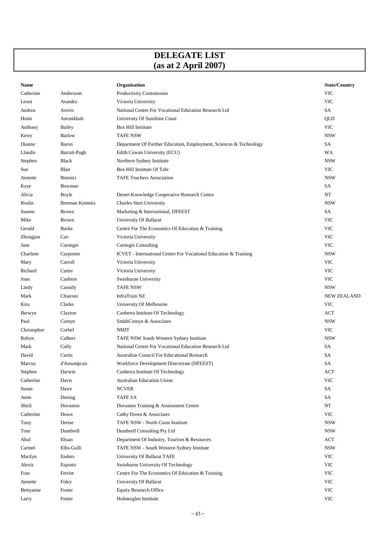# **DELEGATE LIST (as at 2 April 2007)**

| Name        |                | Organisation                                                       | <b>State/Country</b> |
|-------------|----------------|--------------------------------------------------------------------|----------------------|
| Catherine   | Andersson      | Productivity Commission                                            | <b>VIC</b>           |
| Leoni       | Arandez        | Victoria University                                                | <b>VIC</b>           |
| Andrea      | Averis         | National Centre For Vocational Education Research Ltd              | SA                   |
| Homi        | Azemikhah      | University Of Sunshine Coast                                       | QLD                  |
| Anthony     | Bailey         | Box Hill Institute                                                 | <b>VIC</b>           |
| Kerry       | <b>Barlow</b>  | <b>TAFE NSW</b>                                                    | <b>NSW</b>           |
| Dianne      | Baron          | Department Of Further Education, Employment, Sciences & Technology | SA                   |
| Llandis     | Barratt-Pugh   | Edith Cowan University (ECU)                                       | WA                   |
| Stephen     | <b>Black</b>   | Northern Sydney Institute                                          | <b>NSW</b>           |
| Sue         | Blair          | Box Hill Institute Of Tafe                                         | <b>VIC</b>           |
| Annette     | Bonnici        | <b>TAFE Teachers Association</b>                                   | <b>NSW</b>           |
| Kaye        | Bowman         |                                                                    | SA                   |
| Alicia      | Boyle          | Desert Knowledge Cooperative Research Centre                       | NT                   |
| Roslin      | Brennan Kemmis | <b>Charles Sturt University</b>                                    | <b>NSW</b>           |
| Joanne      | <b>Brown</b>   | Marketing & International, DFEEST                                  | SA                   |
| Mike        | <b>Brown</b>   | University Of Ballarat                                             | <b>VIC</b>           |
| Gerald      | <b>Burke</b>   | Centre For The Economics Of Education & Training                   | <b>VIC</b>           |
| Zhongjun    | Cao            | Victoria University                                                | <b>VIC</b>           |
| Jane        | Carnegie       | Carnegie Consulting                                                | <b>VIC</b>           |
| Charlene    | Carpenter      | ICVET - International Centre For Vocational Education & Training   | <b>NSW</b>           |
| Mary        | Carroll        | Victoria University                                                | <b>VIC</b>           |
| Richard     | Carter         | Victoria University                                                | <b>VIC</b>           |
| Joan        | Cashion        | Swinburne University                                               | <b>VIC</b>           |
| Lindy       | Cassidy        | <b>TAFE NSW</b>                                                    | <b>NSW</b>           |
| Mark        | Chiaroni       | InfraTrain NZ                                                      | <b>NEW ZEALAND</b>   |
| Kira        | Clarke         | University Of Melbourne                                            | <b>VIC</b>           |
| Berwyn      | Clayton        | Canberra Institute Of Technology                                   | <b>ACT</b>           |
| Paul        | Comyn          | SmithComyn & Associates                                            | <b>NSW</b>           |
| Christopher | Corbel         | <b>NMIT</b>                                                        | <b>VIC</b>           |
| Robyn       | Culbert        | TAFE NSW South Western Sydney Institute                            | <b>NSW</b>           |
| Mark        | Cully          | National Centre For Vocational Education Research Ltd              | SA                   |
| David       | Curtis         | Australian Council For Educational Research                        | SA                   |
| Marcus      | d'Assumpcao    | Workforce Development Directorate (DFEEST)                         | SA                   |
| Stephen     | Darwin         | Canberra Institute Of Technology                                   | ACT                  |
| Catherine   | Davis          | Australian Education Union                                         | <b>VIC</b>           |
| Susan       | Dawe           | <b>NCVER</b>                                                       | SA                   |
| Anne        | Dening         | <b>TAFE SA</b>                                                     | SA                   |
| Shirli      | Dovaston       | Dovaston Training & Assessment Centre                              | NT                   |
| Catherine   | Down           | Cathy Down & Associates                                            | <b>VIC</b>           |
| Tony        | Dreise         | TAFE NSW - North Coast Institute                                   | <b>NSW</b>           |
| Tom         | Dumbrell       | Dumbrell Consulting Pty Ltd                                        | <b>NSW</b>           |
| Abul        | Ehsan          | Department Of Industry, Tourism & Resources                        | ACT                  |
| Carmel      | Ellis-Gulli    | TAFE NSW - South Western Sydney Institute                          | <b>NSW</b>           |
| Marilyn     | Enders         | University Of Ballarat TAFE                                        | <b>VIC</b>           |
| Alexis      | <b>Esposto</b> | Swinburne University Of Technology                                 | <b>VIC</b>           |
| Fran        | Ferrier        | Centre For The Economics Of Education & Training                   | <b>VIC</b>           |
| Annette     | Foley          | University Of Ballarat                                             | <b>VIC</b>           |
| Bettyanne   | Foster         | <b>Equity Research Office</b>                                      | <b>VIC</b>           |
| Larry       | Foster         | Holmesglen Institute                                               | <b>VIC</b>           |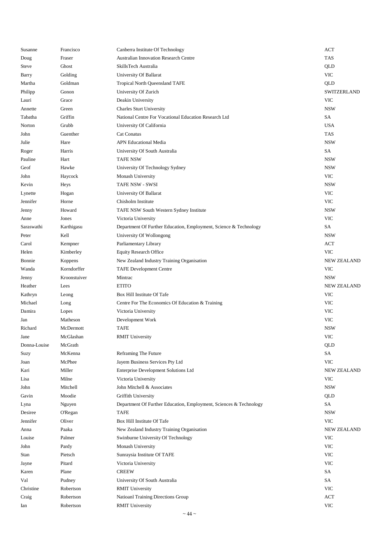| Susanne      | Francisco          | Canberra Institute Of Technology                                   | <b>ACT</b>         |
|--------------|--------------------|--------------------------------------------------------------------|--------------------|
| Doug         | Fraser             | <b>Australian Innovation Research Centre</b>                       | <b>TAS</b>         |
| Steve        | Ghost              | SkillsTech Australia                                               | QLD                |
| Barry        | Golding            | University Of Ballarat                                             | <b>VIC</b>         |
| Martha       | Goldman            | Tropical North Queensland TAFE                                     | QLD                |
| Philipp      | Gonon              | University Of Zurich                                               | SWITZERLAND        |
| Lauri        | Grace              | Deakin University                                                  | <b>VIC</b>         |
| Annette      | Green              | <b>Charles Sturt University</b>                                    | <b>NSW</b>         |
| Tabatha      | Griffin            | National Centre For Vocational Education Research Ltd              | SA                 |
| Norton       | Grubb              | University Of California                                           | <b>USA</b>         |
| John         | Guenther           | Cat Conatus                                                        | <b>TAS</b>         |
| Julie        | Hare               | <b>APN Educational Media</b>                                       | <b>NSW</b>         |
| Roger        | Harris             | University Of South Australia                                      | SA                 |
| Pauline      | Hart               | <b>TAFE NSW</b>                                                    | <b>NSW</b>         |
| Geof         | Hawke              | University Of Technology Sydney                                    | <b>NSW</b>         |
| John         | Haycock            | Monash University                                                  | <b>VIC</b>         |
| Kevin        | Heys               | <b>TAFE NSW - SWSI</b>                                             | <b>NSW</b>         |
| Lynette      | Hogan              | University Of Ballarat                                             | <b>VIC</b>         |
| Jennifer     | Horne              | Chisholm Institute                                                 | <b>VIC</b>         |
| Jenny        | Howard             | TAFE NSW South Western Sydney Institute                            | <b>NSW</b>         |
| Anne         | Jones              | Victoria University                                                | <b>VIC</b>         |
| Saraswathi   | Karthigasu         | Department Of Further Education, Employment, Science & Technology  | SA                 |
| Peter        | Kell               | University Of Wollongong                                           | <b>NSW</b>         |
| Carol        | Kempner            | Parliamentary Library                                              | <b>ACT</b>         |
| Helen        | Kimberley          | <b>Equity Research Office</b>                                      | <b>VIC</b>         |
| Bonnie       | Koppens            | New Zealand Industry Training Organisation                         | <b>NEW ZEALAND</b> |
| Wanda        | Korndorffer        | <b>TAFE</b> Development Centre                                     | <b>VIC</b>         |
| Jenny        | Kroonstuiver       | Mintrac                                                            | <b>NSW</b>         |
| Heather      | Lees               | <b>ETITO</b>                                                       | <b>NEW ZEALAND</b> |
| Kathryn      | Leong              | Box Hill Institute Of Tafe                                         | <b>VIC</b>         |
| Michael      | Long               | Centre For The Economics Of Education & Training                   | <b>VIC</b>         |
| Damira       |                    | Victoria University                                                | <b>VIC</b>         |
| Jan          | Lopes<br>Matheson  |                                                                    | <b>VIC</b>         |
|              |                    | Development Work                                                   |                    |
| Richard      | McDermott          | TAFE                                                               | <b>NSW</b>         |
| Jane         | McGlashan          | <b>RMIT University</b>                                             | <b>VIC</b>         |
| Donna-Louise | McGrath<br>McKenna |                                                                    | QLD                |
| Suzy         |                    | Reframing The Future                                               | ${\rm SA}$         |
| Joan         | McPhee             | Jayem Business Services Pty Ltd                                    | <b>VIC</b>         |
| Kari         | Miller             | Enterprise Development Solutions Ltd                               | <b>NEW ZEALAND</b> |
| Lisa         | Milne              | Victoria University                                                | <b>VIC</b>         |
| John         | Mitchell           | John Mitchell & Associates                                         | <b>NSW</b>         |
| Gavin        | Moodie             | Griffith University                                                | QLD                |
| Lyna         | Nguyen             | Department Of Further Education, Employment, Sciences & Technology | SA                 |
| Desiree      | <b>O'Regan</b>     | TAFE                                                               | <b>NSW</b>         |
| Jennifer     | Oliver             | Box Hill Institute Of Tafe                                         | <b>VIC</b>         |
| Anna         | Paaka              | New Zealand Industry Training Organisation                         | <b>NEW ZEALAND</b> |
| Louise       | Palmer             | Swinburne University Of Technology                                 | <b>VIC</b>         |
| John         | Pardy              | Monash University                                                  | <b>VIC</b>         |
| Stan         | Pietsch            | Sunraysia Institute Of TAFE                                        | <b>VIC</b>         |
| Jayne        | Pitard             | Victoria University                                                | <b>VIC</b>         |
| Karen        | Plane              | <b>CREEW</b>                                                       | SA                 |
| Val          | Pudney             | University Of South Australia                                      | SA                 |
| Christine    | Robertson          | <b>RMIT University</b>                                             | <b>VIC</b>         |
| Craig        | Robertson          | Natioanl Training Directions Group                                 | <b>ACT</b>         |
| Ian          | Robertson          | <b>RMIT University</b>                                             | <b>VIC</b>         |